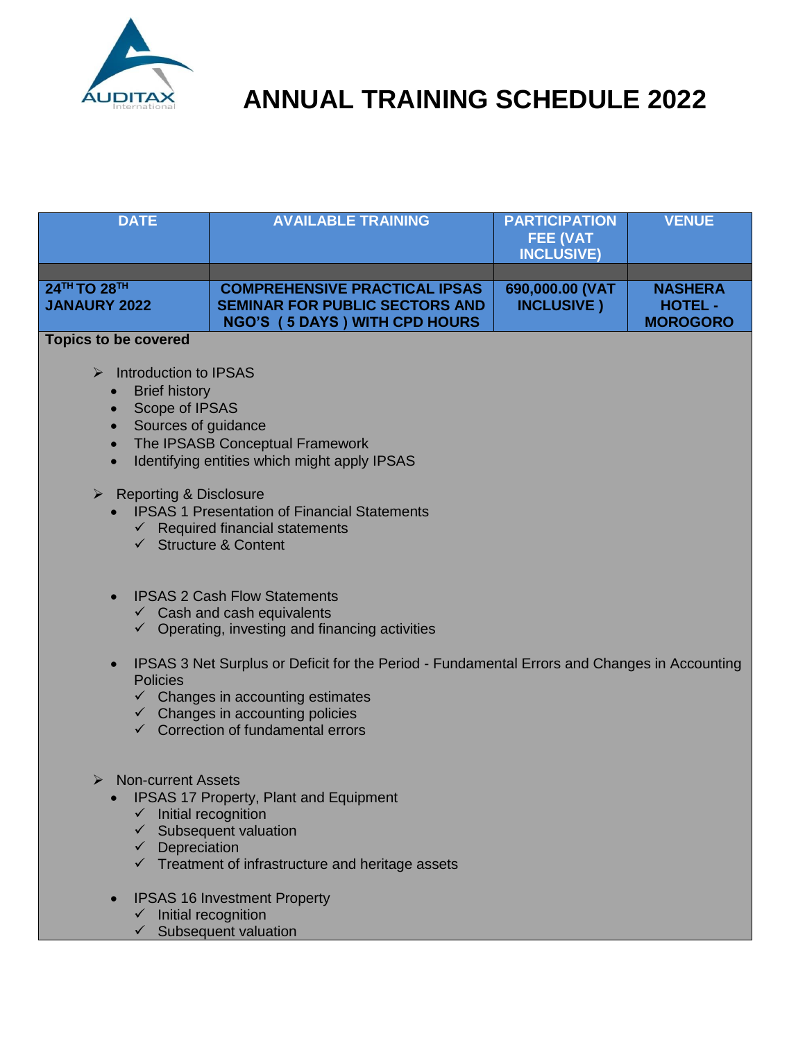

| <b>DATE</b>                                                                                                                                                                          | <b>AVAILABLE TRAINING</b>                                                                                                                                                                                                                    | <b>PARTICIPATION</b><br><b>FEE (VAT</b><br><b>INCLUSIVE)</b> | <b>VENUE</b>                                        |
|--------------------------------------------------------------------------------------------------------------------------------------------------------------------------------------|----------------------------------------------------------------------------------------------------------------------------------------------------------------------------------------------------------------------------------------------|--------------------------------------------------------------|-----------------------------------------------------|
|                                                                                                                                                                                      |                                                                                                                                                                                                                                              |                                                              |                                                     |
| 24TH TO 28TH<br><b>JANAURY 2022</b>                                                                                                                                                  | <b>COMPREHENSIVE PRACTICAL IPSAS</b><br><b>SEMINAR FOR PUBLIC SECTORS AND</b><br><b>NGO'S (5 DAYS) WITH CPD HOURS</b>                                                                                                                        | 690,000.00 (VAT<br><b>INCLUSIVE</b> )                        | <b>NASHERA</b><br><b>HOTEL -</b><br><b>MOROGORO</b> |
| <b>Topics to be covered</b>                                                                                                                                                          |                                                                                                                                                                                                                                              |                                                              |                                                     |
| Introduction to IPSAS<br>$\blacktriangleright$<br><b>Brief history</b><br>$\bullet$<br>Scope of IPSAS<br>$\bullet$<br>Sources of guidance<br>$\triangleright$ Reporting & Disclosure | The IPSASB Conceptual Framework<br>Identifying entities which might apply IPSAS<br><b>IPSAS 1 Presentation of Financial Statements</b><br>$\checkmark$ Required financial statements<br>$\checkmark$ Structure & Content                     |                                                              |                                                     |
|                                                                                                                                                                                      | <b>IPSAS 2 Cash Flow Statements</b><br>$\checkmark$ Cash and cash equivalents<br>$\checkmark$ Operating, investing and financing activities                                                                                                  |                                                              |                                                     |
| $\bullet$<br><b>Policies</b>                                                                                                                                                         | IPSAS 3 Net Surplus or Deficit for the Period - Fundamental Errors and Changes in Accounting<br>$\checkmark$ Changes in accounting estimates<br>$\checkmark$ Changes in accounting policies<br>$\checkmark$ Correction of fundamental errors |                                                              |                                                     |
| Non-current Assets<br>➤<br>Depreciation<br>$\checkmark$                                                                                                                              | <b>IPSAS 17 Property, Plant and Equipment</b><br>Initial recognition<br>Subsequent valuation<br>$\checkmark$ Treatment of infrastructure and heritage assets                                                                                 |                                                              |                                                     |
|                                                                                                                                                                                      | <b>IPSAS 16 Investment Property</b>                                                                                                                                                                                                          |                                                              |                                                     |

- $\checkmark$  Initial recognition
- $\checkmark$  Subsequent valuation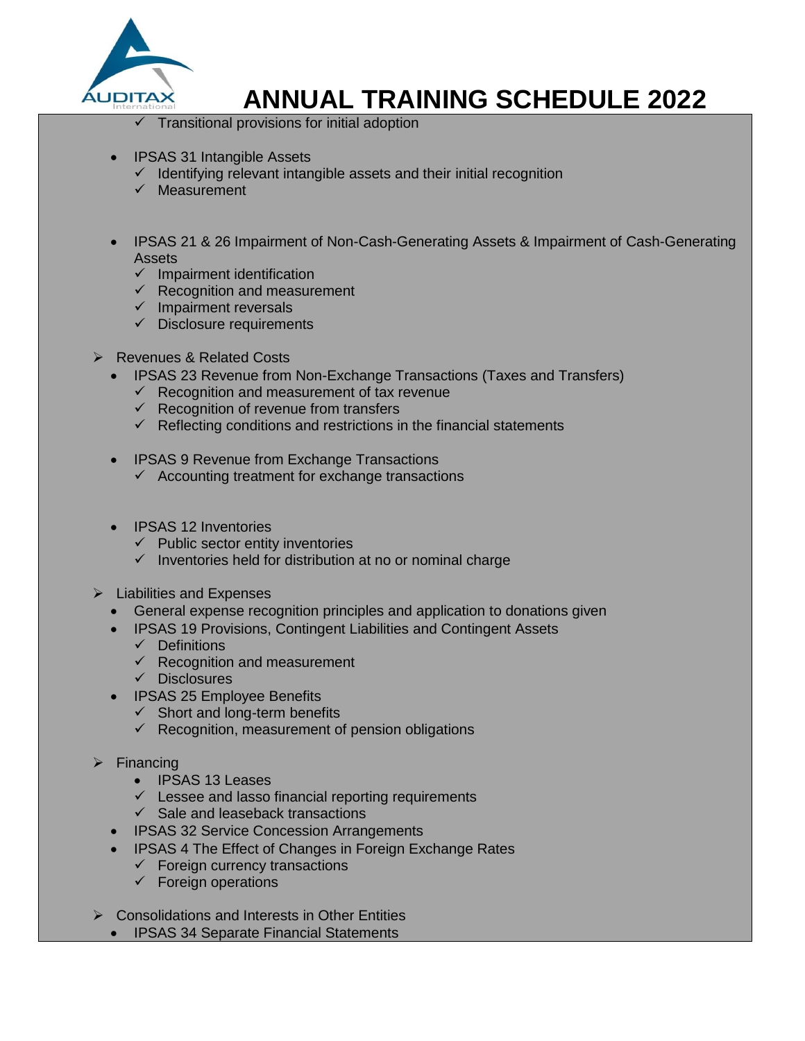

Transitional provisions for initial adoption

- IPSAS 31 Intangible Assets
	- $\checkmark$  Identifying relevant intangible assets and their initial recognition
	- $\checkmark$  Measurement
- IPSAS 21 & 26 Impairment of Non-Cash-Generating Assets & Impairment of Cash-Generating Assets
	- $\checkmark$  Impairment identification
	- $\checkmark$  Recognition and measurement
	- $\checkmark$  Impairment reversals
	- $\checkmark$  Disclosure requirements
- **EXECUTE:** Revenues & Related Costs
	- IPSAS 23 Revenue from Non-Exchange Transactions (Taxes and Transfers)
		- $\checkmark$  Recognition and measurement of tax revenue
		- $\checkmark$  Recognition of revenue from transfers
		- $\checkmark$  Reflecting conditions and restrictions in the financial statements
	- IPSAS 9 Revenue from Exchange Transactions
		- $\checkmark$  Accounting treatment for exchange transactions
	- IPSAS 12 Inventories
		- $\checkmark$  Public sector entity inventories
		- $\checkmark$  Inventories held for distribution at no or nominal charge
- $\triangleright$  Liabilities and Expenses
	- General expense recognition principles and application to donations given
	- IPSAS 19 Provisions, Contingent Liabilities and Contingent Assets
		- $\checkmark$  Definitions
		- $\checkmark$  Recognition and measurement
		- $\checkmark$  Disclosures
	- **IPSAS 25 Employee Benefits** 
		- $\checkmark$  Short and long-term benefits
		- $\checkmark$  Recognition, measurement of pension obligations
- $\triangleright$  Financing
	- IPSAS 13 Leases
	- $\checkmark$  Lessee and lasso financial reporting requirements
	- $\checkmark$  Sale and leaseback transactions
	- IPSAS 32 Service Concession Arrangements
	- IPSAS 4 The Effect of Changes in Foreign Exchange Rates
		- $\checkmark$  Foreign currency transactions
		- $\checkmark$  Foreign operations
- $\triangleright$  Consolidations and Interests in Other Entities
	- IPSAS 34 Separate Financial Statements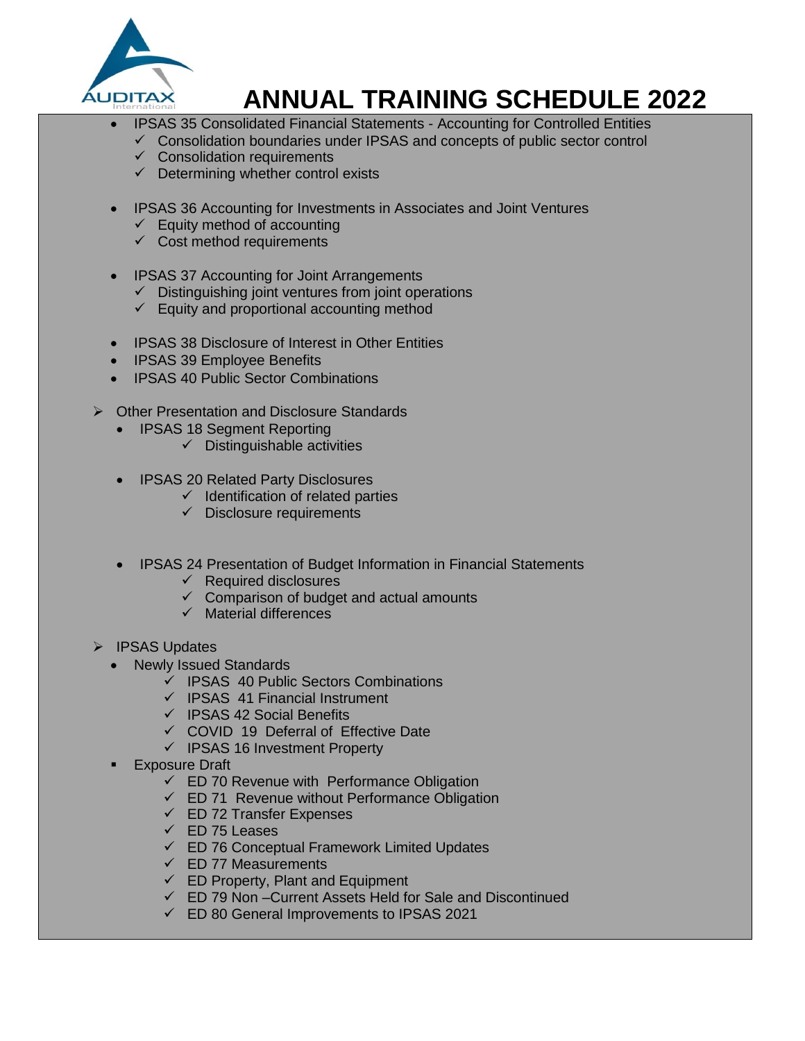

- IPSAS 35 Consolidated Financial Statements Accounting for Controlled Entities
- $\checkmark$  Consolidation boundaries under IPSAS and concepts of public sector control
- $\checkmark$  Consolidation requirements
- $\checkmark$  Determining whether control exists
- IPSAS 36 Accounting for Investments in Associates and Joint Ventures
	- $\checkmark$  Equity method of accounting
	- $\checkmark$  Cost method requirements
- IPSAS 37 Accounting for Joint Arrangements
	- $\checkmark$  Distinguishing joint ventures from joint operations
	- $\checkmark$  Equity and proportional accounting method
- IPSAS 38 Disclosure of Interest in Other Entities
- IPSAS 39 Employee Benefits
- IPSAS 40 Public Sector Combinations
- ▶ Other Presentation and Disclosure Standards
	- IPSAS 18 Segment Reporting
		- $\checkmark$  Distinguishable activities
	- IPSAS 20 Related Party Disclosures
		- $\checkmark$  Identification of related parties
		- $\checkmark$  Disclosure requirements
	- IPSAS 24 Presentation of Budget Information in Financial Statements
		- $\checkmark$  Required disclosures
		- Comparison of budget and actual amounts
		- $\checkmark$  Material differences
- > IPSAS Updates
	- Newly Issued Standards
		- $\checkmark$  IPSAS 40 Public Sectors Combinations
		- $\checkmark$  IPSAS 41 Financial Instrument
		- $\checkmark$  IPSAS 42 Social Benefits
		- $\checkmark$  COVID 19 Deferral of Effective Date
		- $\checkmark$  IPSAS 16 Investment Property
	- Exposure Draft
		- $\checkmark$  ED 70 Revenue with Performance Obligation
		- $\checkmark$  ED 71 Revenue without Performance Obligation
		- $\checkmark$  ED 72 Transfer Expenses
		- $\checkmark$  ED 75 Leases
		- $\checkmark$  ED 76 Conceptual Framework Limited Updates
		- $\checkmark$  ED 77 Measurements
		- $\checkmark$  ED Property, Plant and Equipment
		- ED 79 Non –Current Assets Held for Sale and Discontinued
		- ED 80 General Improvements to IPSAS 2021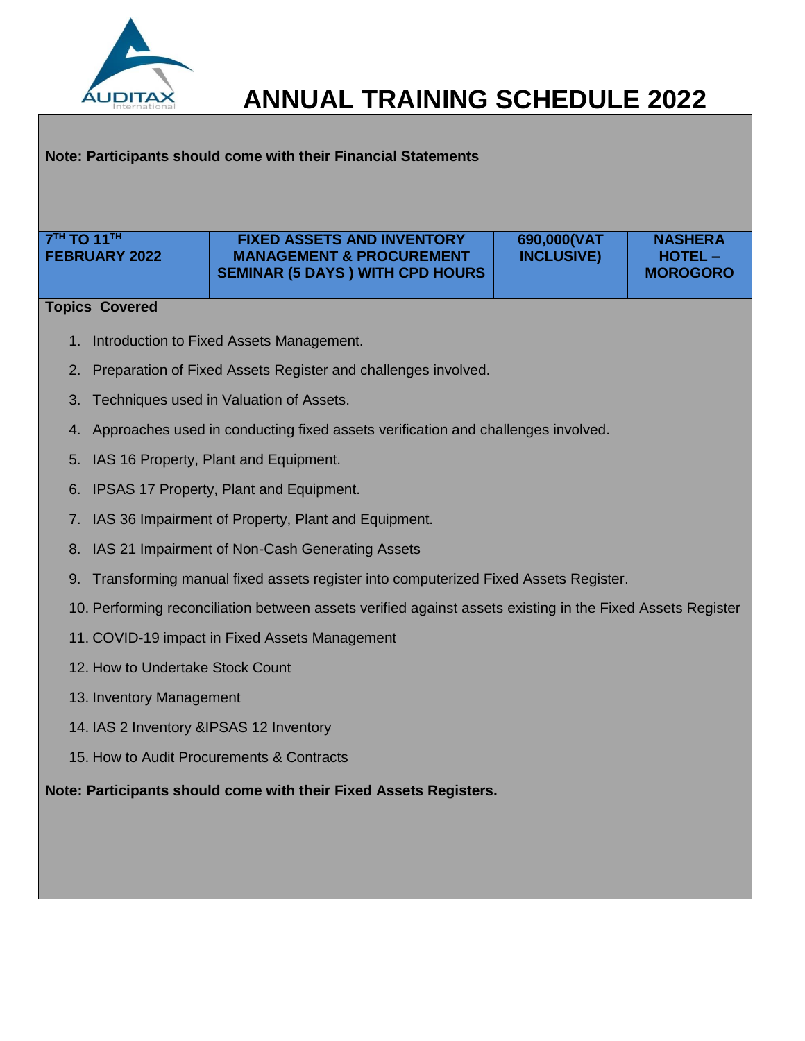

## **Note: Participants should come with their Financial Statements**

| 7 <sup>TH</sup> TO 11 <sup>TH</sup><br><b>FEBRUARY 2022</b> | <b>FIXED ASSETS AND INVENTORY</b><br><b>MANAGEMENT &amp; PROCUREMENT</b>                                   | 690,000(VAT<br><b>INCLUSIVE)</b> | <b>NASHERA</b><br><b>HOTEL-</b> |
|-------------------------------------------------------------|------------------------------------------------------------------------------------------------------------|----------------------------------|---------------------------------|
|                                                             | <b>SEMINAR (5 DAYS) WITH CPD HOURS</b>                                                                     |                                  | <b>MOROGORO</b>                 |
| <b>Topics Covered</b>                                       |                                                                                                            |                                  |                                 |
|                                                             | 1. Introduction to Fixed Assets Management.                                                                |                                  |                                 |
|                                                             | 2. Preparation of Fixed Assets Register and challenges involved.                                           |                                  |                                 |
| 3.                                                          | Techniques used in Valuation of Assets.                                                                    |                                  |                                 |
|                                                             | 4. Approaches used in conducting fixed assets verification and challenges involved.                        |                                  |                                 |
| 5.                                                          | IAS 16 Property, Plant and Equipment.                                                                      |                                  |                                 |
|                                                             | 6. IPSAS 17 Property, Plant and Equipment.                                                                 |                                  |                                 |
| 7.                                                          | IAS 36 Impairment of Property, Plant and Equipment.                                                        |                                  |                                 |
|                                                             | 8. IAS 21 Impairment of Non-Cash Generating Assets                                                         |                                  |                                 |
| 9.                                                          | Transforming manual fixed assets register into computerized Fixed Assets Register.                         |                                  |                                 |
|                                                             | 10. Performing reconciliation between assets verified against assets existing in the Fixed Assets Register |                                  |                                 |
|                                                             | 11. COVID-19 impact in Fixed Assets Management                                                             |                                  |                                 |
| 12. How to Undertake Stock Count                            |                                                                                                            |                                  |                                 |
| 13. Inventory Management                                    |                                                                                                            |                                  |                                 |
| 14. IAS 2 Inventory & IPSAS 12 Inventory                    |                                                                                                            |                                  |                                 |
|                                                             | 15. How to Audit Procurements & Contracts                                                                  |                                  |                                 |
|                                                             | Note: Participants should come with their Fixed Assets Registers.                                          |                                  |                                 |
|                                                             |                                                                                                            |                                  |                                 |
|                                                             |                                                                                                            |                                  |                                 |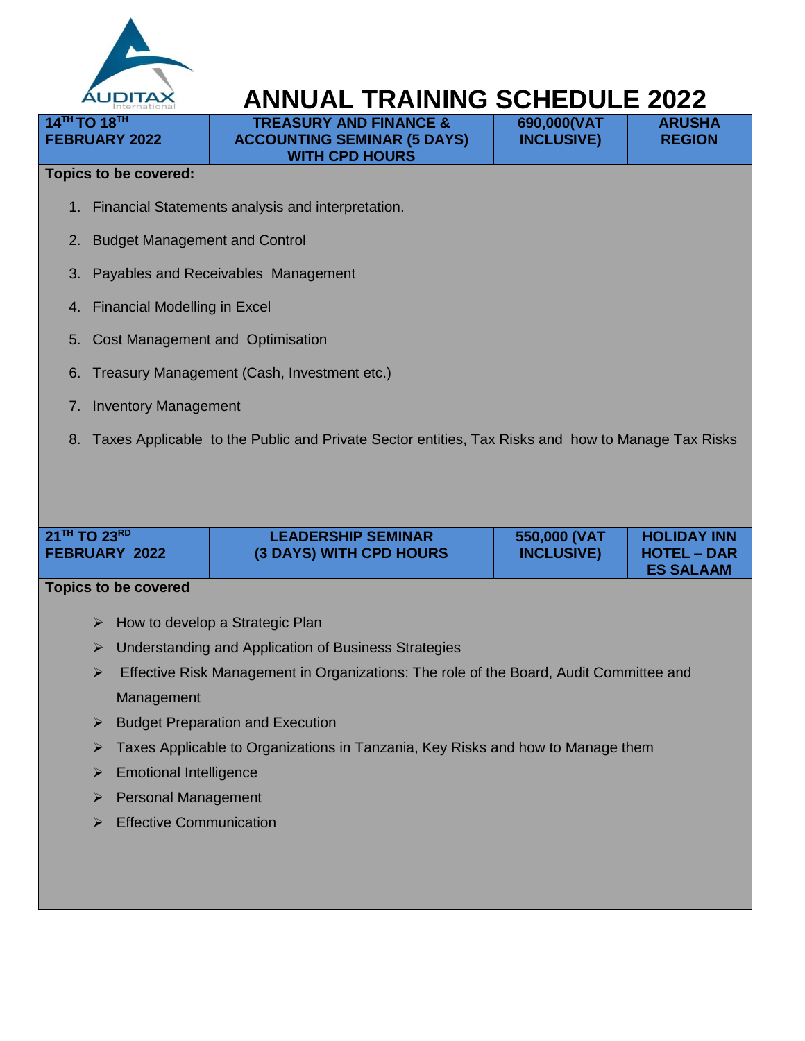

**TREASURY AND FINANCE & ACCOUNTING SEMINAR (5 DAYS) WITH CPD HOURS**

**690,000(VAT INCLUSIVE)**

**ARUSHA REGION** 

#### **Topics to be covered:**

**14TH TO 18TH FEBRUARY 2022**

- 1. Financial Statements analysis and interpretation.
- 2. Budget Management and Control
- 3. Payables and Receivables Management
- 4. Financial Modelling in Excel
- 5. Cost Management and Optimisation
- 6. Treasury Management (Cash, Investment etc.)
- 7. Inventory Management
- 8. Taxes Applicable to the Public and Private Sector entities, Tax Risks and how to Manage Tax Risks

| <b>LEADERSHIP SEMINAR</b><br>550,000 (VAT<br><b>FEBRUARY 2022</b><br>(3 DAYS) WITH CPD HOURS<br><b>INCLUSIVE)</b> | $21$ <sup>TH</sup> TO 23 <sup>RD</sup> |  |  | <b>HOLIDAY INN</b><br><b>HOTEL – DAR</b><br><b>ES SALAAM</b> |
|-------------------------------------------------------------------------------------------------------------------|----------------------------------------|--|--|--------------------------------------------------------------|
|-------------------------------------------------------------------------------------------------------------------|----------------------------------------|--|--|--------------------------------------------------------------|

- $\triangleright$  How to develop a Strategic Plan
- Understanding and Application of Business Strategies
- $\triangleright$  Effective Risk Management in Organizations: The role of the Board, Audit Committee and Management
- $\triangleright$  Budget Preparation and Execution
- **EXEC** Taxes Applicable to Organizations in Tanzania, Key Risks and how to Manage them
- > Emotional Intelligence
- **Personal Management**
- $\triangleright$  Effective Communication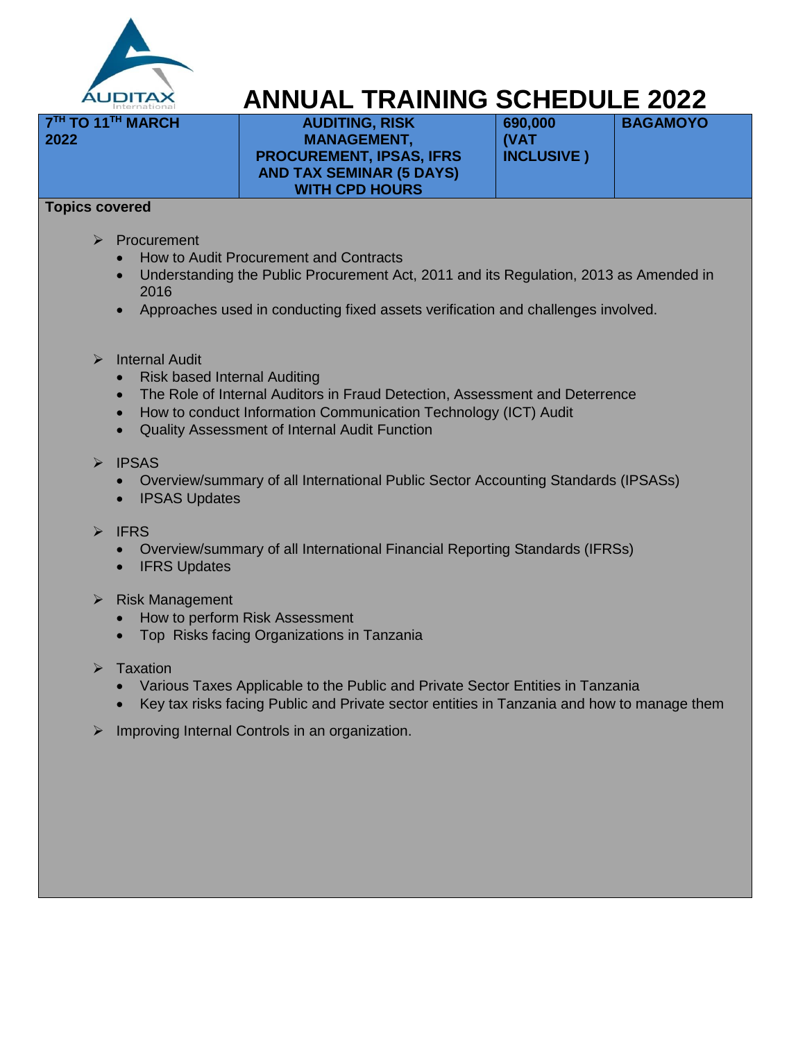

**AUDITING, RISK MANAGEMENT, PROCUREMENT, IPSAS, IFRS AND TAX SEMINAR (5 DAYS) WITH CPD HOURS**

**690,000 (VAT INCLUSIVE )**  **BAGAMOYO** 

### **Topics covered**

**2022**

**7 TH TO 11TH MARCH** 

- Procurement
	- How to Audit Procurement and Contracts
	- Understanding the Public Procurement Act, 2011 and its Regulation, 2013 as Amended in 2016
	- Approaches used in conducting fixed assets verification and challenges involved.
- $\triangleright$  Internal Audit
	- Risk based Internal Auditing
	- The Role of Internal Auditors in Fraud Detection, Assessment and Deterrence
	- How to conduct Information Communication Technology (ICT) Audit
	- Quality Assessment of Internal Audit Function
- $\triangleright$  IPSAS
	- Overview/summary of all International Public Sector Accounting Standards (IPSASs)
	- IPSAS Updates
- $\triangleright$  IFRS
	- Overview/summary of all International Financial Reporting Standards (IFRSs)
	- IFRS Updates
- $\triangleright$  Risk Management
	- How to perform Risk Assessment
	- Top Risks facing Organizations in Tanzania
- $\triangleright$  Taxation
	- Various Taxes Applicable to the Public and Private Sector Entities in Tanzania
	- Key tax risks facing Public and Private sector entities in Tanzania and how to manage them
- $\triangleright$  Improving Internal Controls in an organization.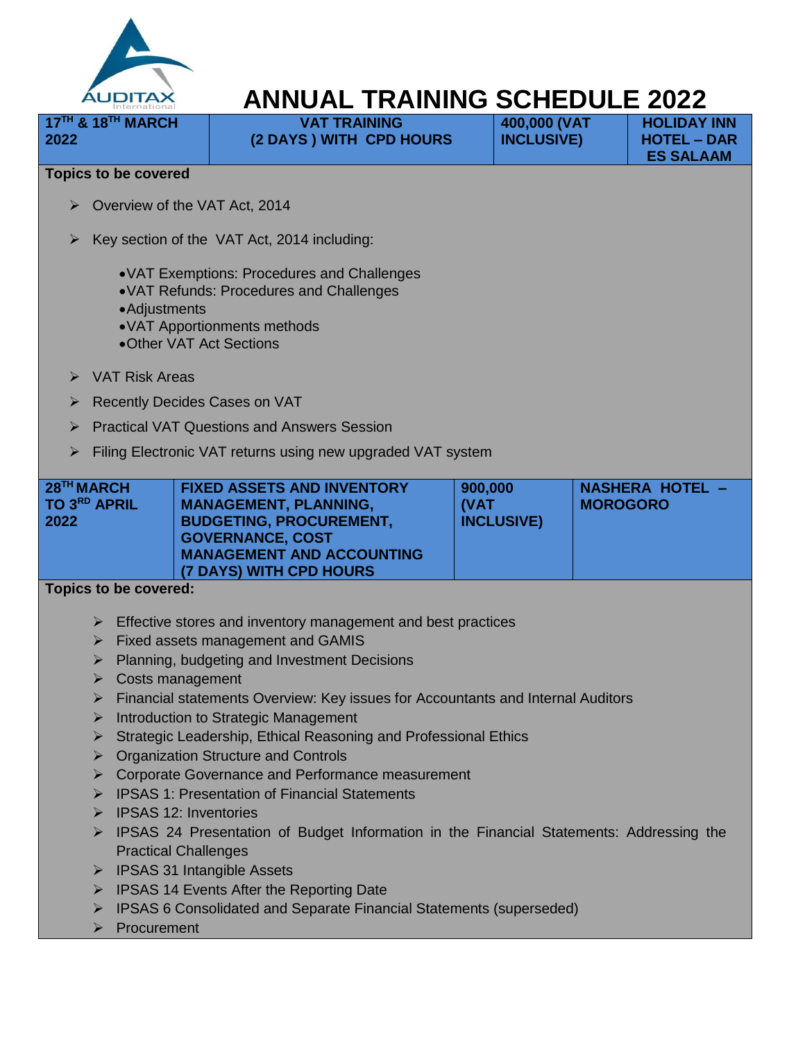

| $17TH$ & $18TH$ MARCH<br>2022                  |                                                                                                                                                                                                                                                                                                                                                                                      | <b>VAT TRAINING</b><br>(2 DAYS) WITH CPD HOURS | 400,000 (VAT<br><b>INCLUSIVE)</b>    | <b>HOLIDAY INN</b><br><b>HOTEL - DAR</b><br><b>ES SALAAM</b> |
|------------------------------------------------|--------------------------------------------------------------------------------------------------------------------------------------------------------------------------------------------------------------------------------------------------------------------------------------------------------------------------------------------------------------------------------------|------------------------------------------------|--------------------------------------|--------------------------------------------------------------|
| <b>Topics to be covered</b>                    |                                                                                                                                                                                                                                                                                                                                                                                      |                                                |                                      |                                                              |
|                                                | $\triangleright$ Overview of the VAT Act, 2014                                                                                                                                                                                                                                                                                                                                       |                                                |                                      |                                                              |
| $\blacktriangleright$                          | Key section of the VAT Act, 2014 including:                                                                                                                                                                                                                                                                                                                                          |                                                |                                      |                                                              |
|                                                | • VAT Exemptions: Procedures and Challenges<br>• VAT Refunds: Procedures and Challenges<br>• Adjustments<br>• VAT Apportionments methods<br>•Other VAT Act Sections                                                                                                                                                                                                                  |                                                |                                      |                                                              |
| VAT Risk Areas<br>$\blacktriangleright$        |                                                                                                                                                                                                                                                                                                                                                                                      |                                                |                                      |                                                              |
| ➤                                              | <b>Recently Decides Cases on VAT</b>                                                                                                                                                                                                                                                                                                                                                 |                                                |                                      |                                                              |
| ➤                                              | <b>Practical VAT Questions and Answers Session</b>                                                                                                                                                                                                                                                                                                                                   |                                                |                                      |                                                              |
| ➤                                              | Filing Electronic VAT returns using new upgraded VAT system                                                                                                                                                                                                                                                                                                                          |                                                |                                      |                                                              |
|                                                |                                                                                                                                                                                                                                                                                                                                                                                      |                                                |                                      |                                                              |
| 28 <sup>TH</sup> MARCH<br>TO 3RD APRIL<br>2022 | <b>FIXED ASSETS AND INVENTORY</b><br><b>MANAGEMENT, PLANNING,</b><br><b>BUDGETING, PROCUREMENT,</b><br><b>GOVERNANCE, COST</b><br><b>MANAGEMENT AND ACCOUNTING</b><br>(7 DAYS) WITH CPD HOURS                                                                                                                                                                                        | 900,000<br>(VAT                                | <b>MOROGORO</b><br><b>INCLUSIVE)</b> | NASHERA HOTEL -                                              |
| Topics to be covered:                          |                                                                                                                                                                                                                                                                                                                                                                                      |                                                |                                      |                                                              |
| ➤<br>➤<br>➤<br>➤<br>➤                          | $\triangleright$ Effective stores and inventory management and best practices<br>Fixed assets management and GAMIS<br>Planning, budgeting and Investment Decisions<br>Costs management<br>Financial statements Overview: Key issues for Accountants and Internal Auditors<br>Introduction to Strategic Management<br>Strategic Leadership, Ethical Reasoning and Professional Ethics |                                                |                                      |                                                              |
| ➤                                              | <b>Organization Structure and Controls</b>                                                                                                                                                                                                                                                                                                                                           |                                                |                                      |                                                              |
| ➤                                              | Corporate Governance and Performance measurement<br>> IPSAS 1: Presentation of Financial Statements                                                                                                                                                                                                                                                                                  |                                                |                                      |                                                              |

- $\triangleright$  IPSAS 12: Inventories
- IPSAS 24 Presentation of Budget Information in the Financial Statements: Addressing the Practical Challenges
- > IPSAS 31 Intangible Assets
- $\triangleright$  IPSAS 14 Events After the Reporting Date
- IPSAS 6 Consolidated and Separate Financial Statements (superseded)
- $\triangleright$  Procurement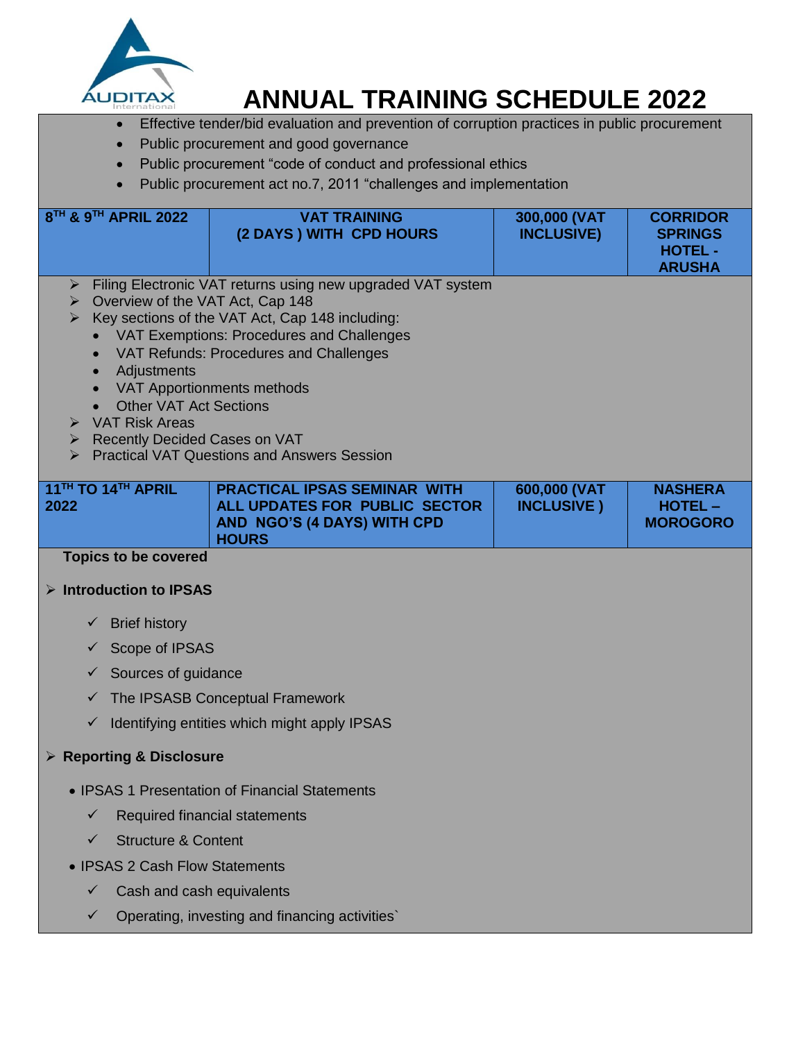

- **Effective tender/bid evaluation and prevention of corruption practices in public procurement**
- Public procurement and good governance
- Public procurement "code of conduct and professional ethics
- Public procurement act no.7, 2011 "challenges and implementation

| 8TH & 9TH APRIL 2022                                                                                                                                                                                           | <b>VAT TRAINING</b><br>(2 DAYS) WITH CPD HOURS                                                                                                                                                                                                                                                            | 300,000 (VAT<br><b>INCLUSIVE)</b>  | <b>CORRIDOR</b><br><b>SPRINGS</b><br><b>HOTEL -</b><br><b>ARUSHA</b> |
|----------------------------------------------------------------------------------------------------------------------------------------------------------------------------------------------------------------|-----------------------------------------------------------------------------------------------------------------------------------------------------------------------------------------------------------------------------------------------------------------------------------------------------------|------------------------------------|----------------------------------------------------------------------|
| ▶ Overview of the VAT Act, Cap 148<br>$\bullet$<br>Adjustments<br>$\bullet$<br><b>Other VAT Act Sections</b><br>$\bullet$<br>$\triangleright$ VAT Risk Areas<br>$\triangleright$ Recently Decided Cases on VAT | > Filing Electronic VAT returns using new upgraded VAT system<br>$\triangleright$ Key sections of the VAT Act, Cap 148 including:<br>• VAT Exemptions: Procedures and Challenges<br>VAT Refunds: Procedures and Challenges<br>VAT Apportionments methods<br>> Practical VAT Questions and Answers Session |                                    |                                                                      |
| 11TH TO 14TH APRIL<br>2022                                                                                                                                                                                     | <b>PRACTICAL IPSAS SEMINAR WITH</b><br>ALL UPDATES FOR PUBLIC SECTOR<br><b>AND NGO'S (4 DAYS) WITH CPD</b><br><b>HOURS</b>                                                                                                                                                                                | 600,000 (VAT<br><b>INCLUSIVE</b> ) | <b>NASHERA</b><br><b>HOTEL -</b><br><b>MOROGORO</b>                  |
| <b>Topics to be covered</b>                                                                                                                                                                                    |                                                                                                                                                                                                                                                                                                           |                                    |                                                                      |
| $\triangleright$ Introduction to IPSAS                                                                                                                                                                         |                                                                                                                                                                                                                                                                                                           |                                    |                                                                      |
| <b>Brief history</b><br>✓                                                                                                                                                                                      |                                                                                                                                                                                                                                                                                                           |                                    |                                                                      |
| Scope of IPSAS<br>✓                                                                                                                                                                                            |                                                                                                                                                                                                                                                                                                           |                                    |                                                                      |
| Sources of guidance<br>✓                                                                                                                                                                                       |                                                                                                                                                                                                                                                                                                           |                                    |                                                                      |
| ✓                                                                                                                                                                                                              | The IPSASB Conceptual Framework                                                                                                                                                                                                                                                                           |                                    |                                                                      |
| $\checkmark$                                                                                                                                                                                                   | Identifying entities which might apply IPSAS                                                                                                                                                                                                                                                              |                                    |                                                                      |
| $\triangleright$ Reporting & Disclosure                                                                                                                                                                        |                                                                                                                                                                                                                                                                                                           |                                    |                                                                      |
|                                                                                                                                                                                                                | • IPSAS 1 Presentation of Financial Statements                                                                                                                                                                                                                                                            |                                    |                                                                      |
| ✓                                                                                                                                                                                                              | Required financial statements                                                                                                                                                                                                                                                                             |                                    |                                                                      |
| <b>Structure &amp; Content</b><br>✓                                                                                                                                                                            |                                                                                                                                                                                                                                                                                                           |                                    |                                                                      |
| • IPSAS 2 Cash Flow Statements                                                                                                                                                                                 |                                                                                                                                                                                                                                                                                                           |                                    |                                                                      |
| Cash and cash equivalents<br>✓                                                                                                                                                                                 |                                                                                                                                                                                                                                                                                                           |                                    |                                                                      |
|                                                                                                                                                                                                                | Operating, investing and financing activities                                                                                                                                                                                                                                                             |                                    |                                                                      |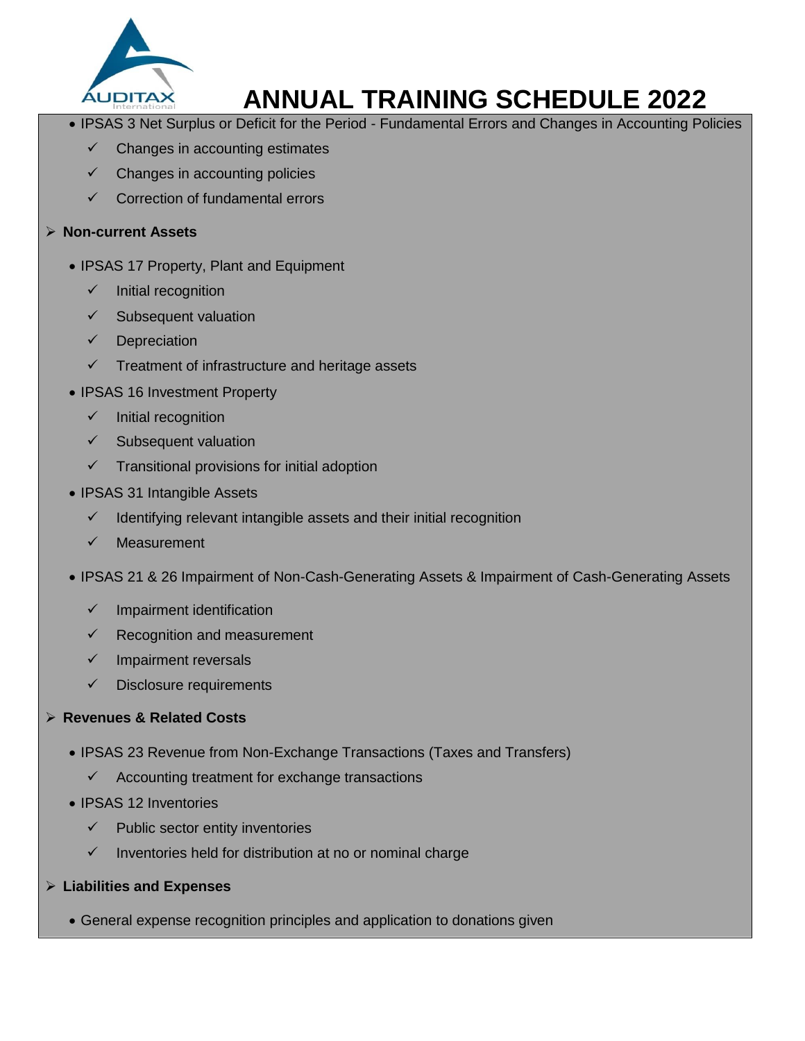

- IPSAS 3 Net Surplus or Deficit for the Period Fundamental Errors and Changes in Accounting Policies
	- $\checkmark$  Changes in accounting estimates
	- Changes in accounting policies
	- $\checkmark$  Correction of fundamental errors

### **Non-current Assets**

- IPSAS 17 Property, Plant and Equipment
	- $\checkmark$  Initial recognition
	- Subsequent valuation
	- $\checkmark$  Depreciation
	- $\checkmark$  Treatment of infrastructure and heritage assets
- IPSAS 16 Investment Property
	- $\checkmark$  Initial recognition
	- $\checkmark$  Subsequent valuation
	- $\checkmark$  Transitional provisions for initial adoption
- IPSAS 31 Intangible Assets
	- $\checkmark$  Identifying relevant intangible assets and their initial recognition
	- $\checkmark$  Measurement
- IPSAS 21 & 26 Impairment of Non-Cash-Generating Assets & Impairment of Cash-Generating Assets
	- Impairment identification
	- Recognition and measurement
	- $\checkmark$  Impairment reversals
	- $\checkmark$  Disclosure requirements

## **Revenues & Related Costs**

- IPSAS 23 Revenue from Non-Exchange Transactions (Taxes and Transfers)
	- $\checkmark$  Accounting treatment for exchange transactions
- IPSAS 12 Inventories
	- $\checkmark$  Public sector entity inventories
	- $\checkmark$  Inventories held for distribution at no or nominal charge
- **Liabilities and Expenses**
	- General expense recognition principles and application to donations given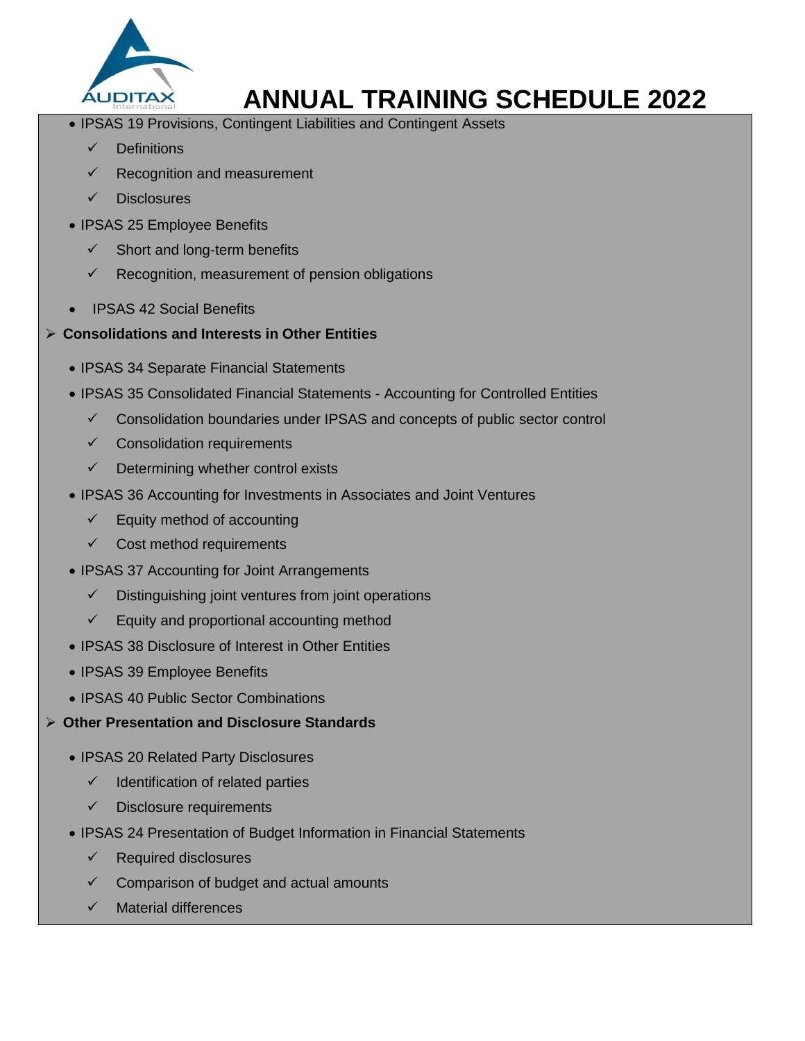

- IPSAS 19 Provisions, Contingent Liabilities and Contingent Assets
	- $\sqrt{\phantom{a}}$  Definitions
	- Recognition and measurement
	- **Disclosures**
- IPSAS 25 Employee Benefits
	- $\checkmark$  Short and long-term benefits
	- $\checkmark$  Recognition, measurement of pension obligations
- IPSAS 42 Social Benefits
- **Consolidations and Interests in Other Entities**
	- IPSAS 34 Separate Financial Statements
	- IPSAS 35 Consolidated Financial Statements Accounting for Controlled Entities
		- $\checkmark$  Consolidation boundaries under IPSAS and concepts of public sector control
		- $\checkmark$  Consolidation requirements
		- $\checkmark$  Determining whether control exists
	- IPSAS 36 Accounting for Investments in Associates and Joint Ventures
		- $\checkmark$  Equity method of accounting
		- $\checkmark$  Cost method requirements
	- IPSAS 37 Accounting for Joint Arrangements
		- $\checkmark$  Distinguishing joint ventures from joint operations
		- $\checkmark$  Equity and proportional accounting method
	- IPSAS 38 Disclosure of Interest in Other Entities
	- IPSAS 39 Employee Benefits
	- IPSAS 40 Public Sector Combinations
- **Other Presentation and Disclosure Standards**
	- IPSAS 20 Related Party Disclosures
		- $\checkmark$  Identification of related parties
		- $\checkmark$  Disclosure requirements
	- IPSAS 24 Presentation of Budget Information in Financial Statements
		- $\checkmark$  Required disclosures
		- Comparison of budget and actual amounts
		- $\checkmark$  Material differences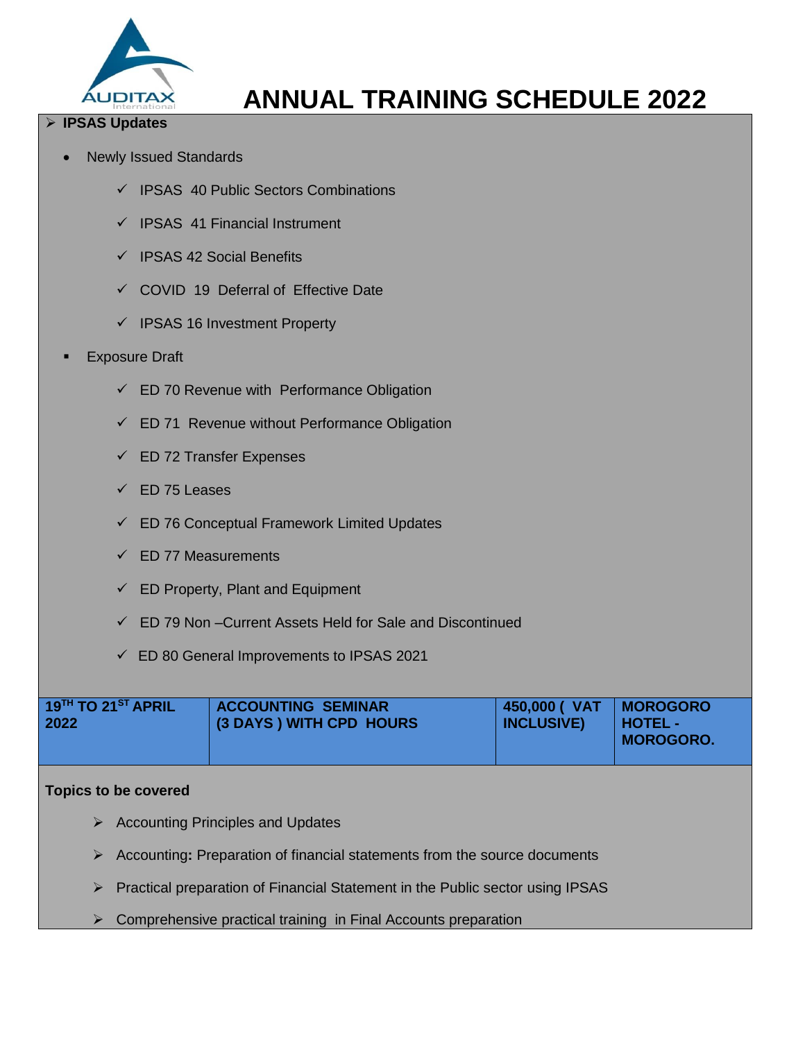

## **IPSAS Updates**

- Newly Issued Standards
	- $\checkmark$  IPSAS 40 Public Sectors Combinations
	- $\checkmark$  IPSAS 41 Financial Instrument
	- $\checkmark$  IPSAS 42 Social Benefits
	- $\checkmark$  COVID 19 Deferral of Effective Date
	- $\checkmark$  IPSAS 16 Investment Property
- Exposure Draft
	- $\checkmark$  ED 70 Revenue with Performance Obligation
	- $\checkmark$  ED 71 Revenue without Performance Obligation
	- $\checkmark$  ED 72 Transfer Expenses
	- $\checkmark$  ED 75 Leases
	- $\checkmark$  ED 76 Conceptual Framework Limited Updates
	- $\checkmark$  ED 77 Measurements
	- $\checkmark$  ED Property, Plant and Equipment
	- $\checkmark$  ED 79 Non –Current Assets Held for Sale and Discontinued
	- ED 80 General Improvements to IPSAS 2021

| $19^{TH}$ TO $21^{ST}$ APRIL | <b>ACCOUNTING SEMINAR</b> | 450,000 ( VAT   MOROGORO | I HOTEL -        |
|------------------------------|---------------------------|--------------------------|------------------|
| 2022                         | (3 DAYS) WITH CPD HOURS   | <b>INCLUSIVE)</b>        | <b>MOROGORO.</b> |
|                              |                           |                          |                  |

- $\triangleright$  Accounting Principles and Updates
- Accounting**:** Preparation of financial statements from the source documents
- $\triangleright$  Practical preparation of Financial Statement in the Public sector using IPSAS
- $\triangleright$  Comprehensive practical training in Final Accounts preparation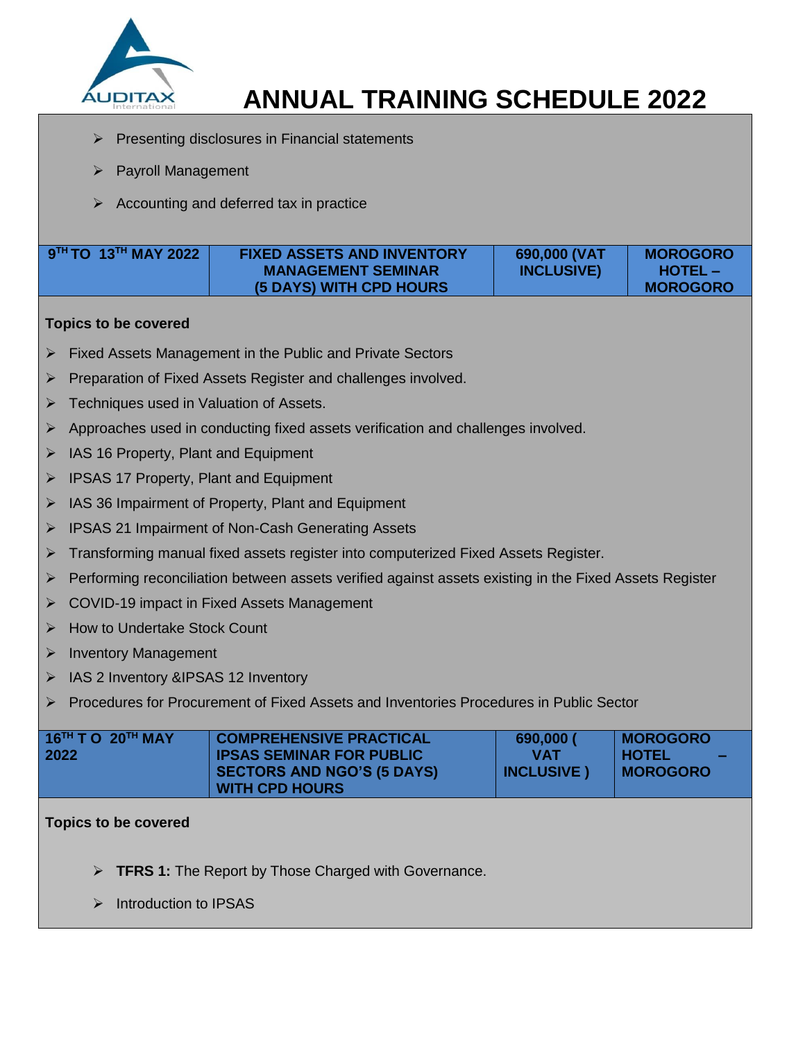

- Presenting disclosures in Financial statements
- $\triangleright$  Payroll Management
- Accounting and deferred tax in practice

| $\frac{1}{2}$ 9 <sup>TH</sup> TO 13 <sup>TH</sup> MAY 2022 | <b>FIXED ASSETS AND INVENTORY</b> | 690,000 (VAT      | <b>MOROGORO</b> |
|------------------------------------------------------------|-----------------------------------|-------------------|-----------------|
|                                                            | <b>MANAGEMENT SEMINAR</b>         | <b>INCLUSIVE)</b> | $HOTEL -$       |
|                                                            | <b>(5 DAYS) WITH CPD HOURS</b>    |                   | <b>MOROGORO</b> |

#### **Topics to be covered**

- $\triangleright$  Fixed Assets Management in the Public and Private Sectors
- Preparation of Fixed Assets Register and challenges involved.
- > Techniques used in Valuation of Assets.
- $\triangleright$  Approaches used in conducting fixed assets verification and challenges involved.
- $\triangleright$  IAS 16 Property, Plant and Equipment
- **IPSAS 17 Property, Plant and Equipment**
- $\triangleright$  IAS 36 Impairment of Property, Plant and Equipment
- ▶ IPSAS 21 Impairment of Non-Cash Generating Assets
- Transforming manual fixed assets register into computerized Fixed Assets Register.
- $\triangleright$  Performing reconciliation between assets verified against assets existing in the Fixed Assets Register
- **► COVID-19 impact in Fixed Assets Management**
- How to Undertake Stock Count
- Inventory Management
- > IAS 2 Inventory &IPSAS 12 Inventory
- Procedures for Procurement of Fixed Assets and Inventories Procedures in Public Sector

| $16^{TH}$ T O $20^{TH}$ MAY | <b>COMPREHENSIVE PRACTICAL</b>    | 690,000 (          | <b>MOROGORO</b>                |
|-----------------------------|-----------------------------------|--------------------|--------------------------------|
| 2022                        | <b>IPSAS SEMINAR FOR PUBLIC</b>   | <b>VAT</b>         | <b>HOTEL</b><br><b>College</b> |
|                             | <b>SECTORS AND NGO'S (5 DAYS)</b> | <b>INCLUSIVE</b> ) | ∣ MOROGORO                     |
|                             | <b>WITH CPD HOURS</b>             |                    |                                |

- **TFRS 1:** The Report by Those Charged with Governance.
- $\triangleright$  Introduction to IPSAS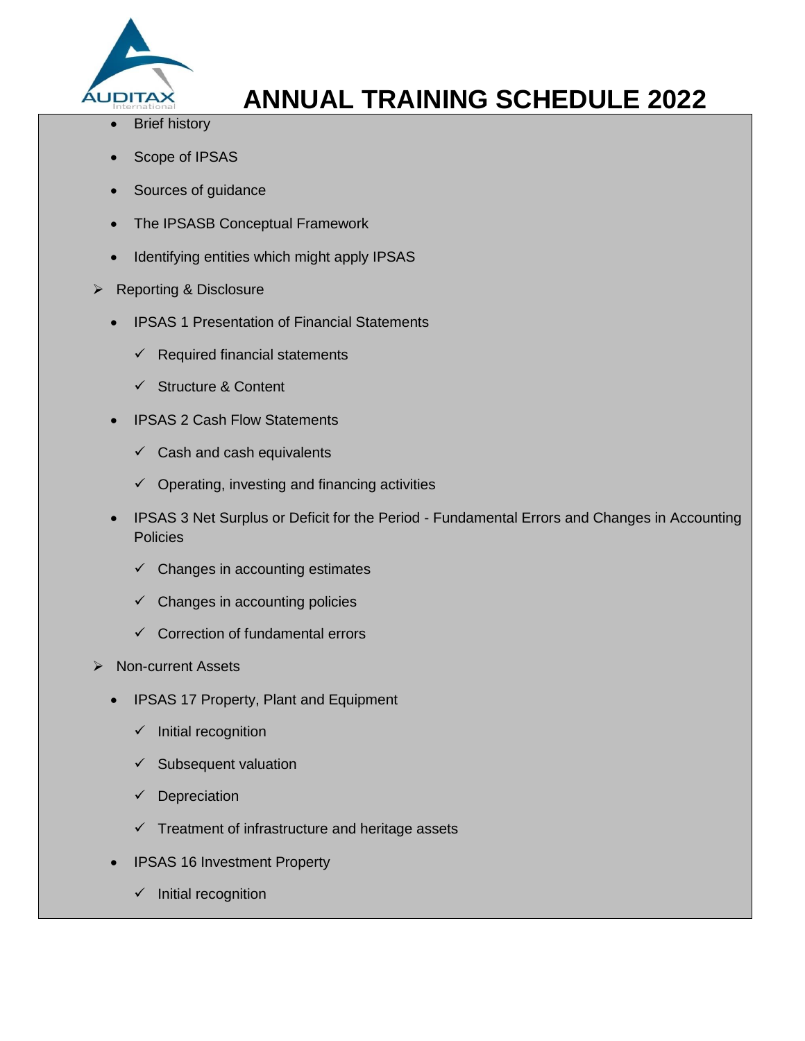

- Brief history
- Scope of IPSAS
- Sources of guidance
- The IPSASB Conceptual Framework
- Identifying entities which might apply IPSAS
- $\triangleright$  Reporting & Disclosure
	- IPSAS 1 Presentation of Financial Statements
		- $\checkmark$  Required financial statements
		- $\checkmark$  Structure & Content
	- IPSAS 2 Cash Flow Statements
		- $\checkmark$  Cash and cash equivalents
		- $\checkmark$  Operating, investing and financing activities
	- IPSAS 3 Net Surplus or Deficit for the Period Fundamental Errors and Changes in Accounting Policies
		- $\checkmark$  Changes in accounting estimates
		- $\checkmark$  Changes in accounting policies
		- $\checkmark$  Correction of fundamental errors
- $\triangleright$  Non-current Assets
	- IPSAS 17 Property, Plant and Equipment
		- $\checkmark$  Initial recognition
		- $\checkmark$  Subsequent valuation
		- $\checkmark$  Depreciation
		- $\checkmark$  Treatment of infrastructure and heritage assets
	- IPSAS 16 Investment Property
		- $\checkmark$  Initial recognition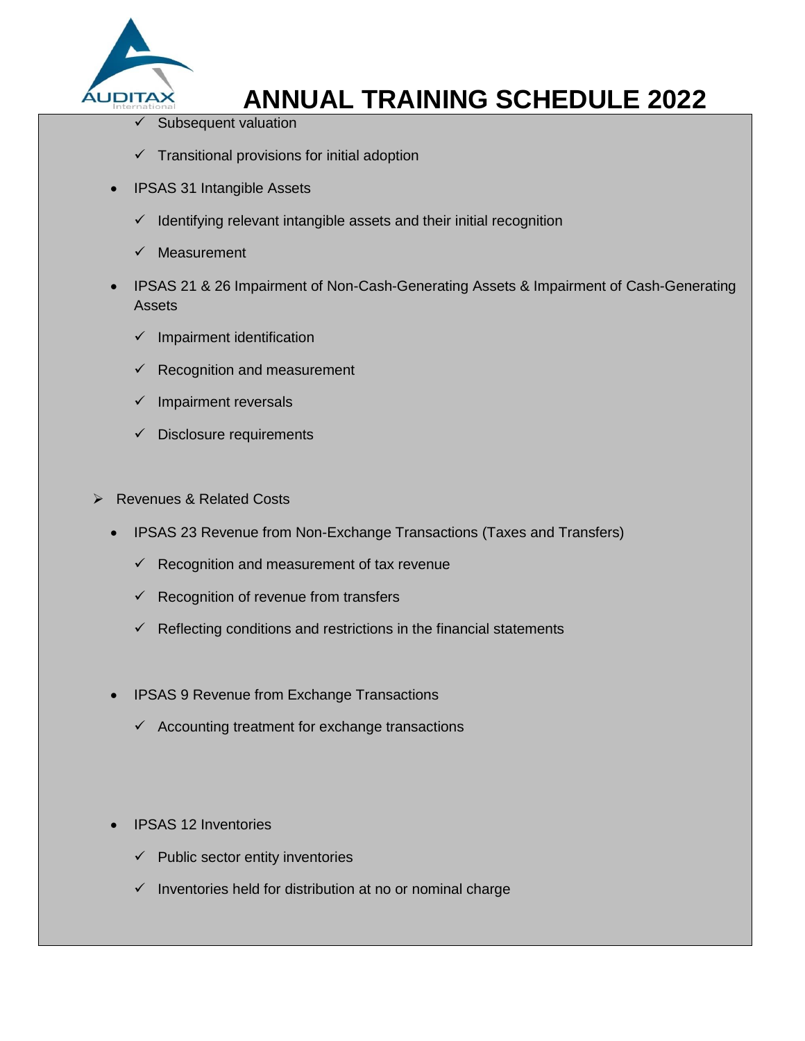

- Subsequent valuation
- $\checkmark$  Transitional provisions for initial adoption
- IPSAS 31 Intangible Assets
	- $\checkmark$  Identifying relevant intangible assets and their initial recognition
	- $\checkmark$  Measurement
- IPSAS 21 & 26 Impairment of Non-Cash-Generating Assets & Impairment of Cash-Generating Assets
	- $\checkmark$  Impairment identification
	- Recognition and measurement
	- $\checkmark$  Impairment reversals
	- $\checkmark$  Disclosure requirements
- **EXECUTE:** Revenues & Related Costs
	- IPSAS 23 Revenue from Non-Exchange Transactions (Taxes and Transfers)
		- $\checkmark$  Recognition and measurement of tax revenue
		- $\checkmark$  Recognition of revenue from transfers
		- $\checkmark$  Reflecting conditions and restrictions in the financial statements
	- IPSAS 9 Revenue from Exchange Transactions
		- $\checkmark$  Accounting treatment for exchange transactions
	- IPSAS 12 Inventories
		- $\checkmark$  Public sector entity inventories
		- $\checkmark$  Inventories held for distribution at no or nominal charge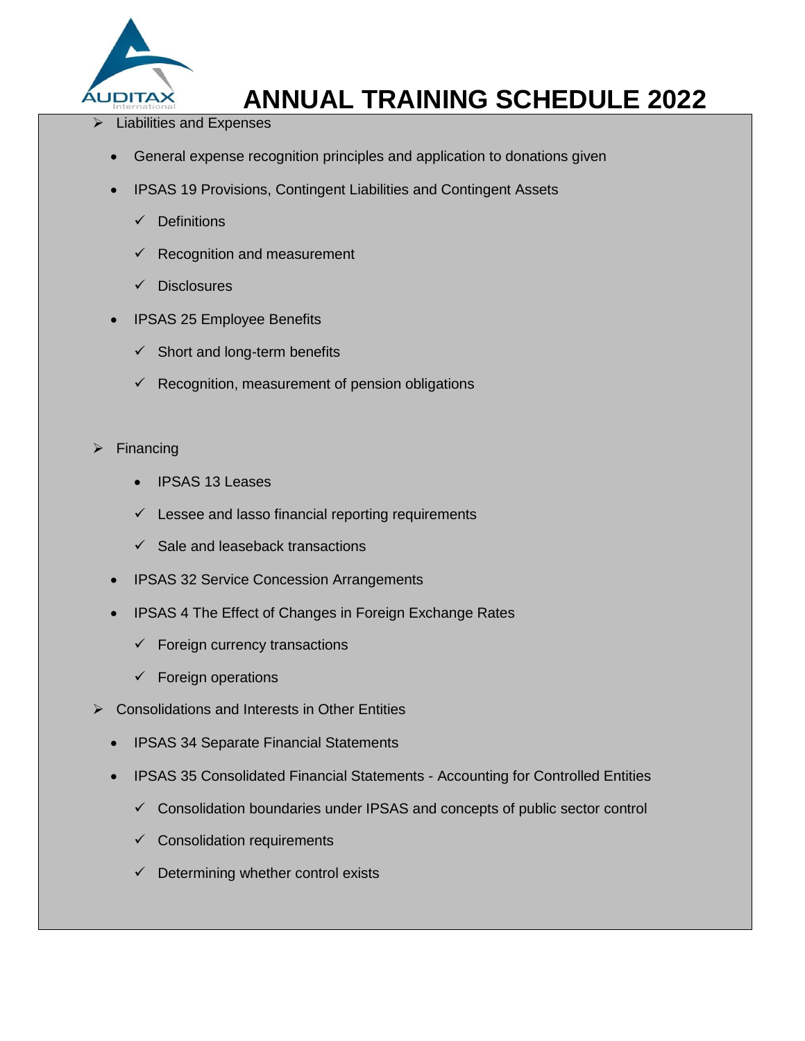

- $\triangleright$  Liabilities and Expenses
	- General expense recognition principles and application to donations given
	- IPSAS 19 Provisions, Contingent Liabilities and Contingent Assets
		- $\checkmark$  Definitions
		- $\checkmark$  Recognition and measurement
		- $\checkmark$  Disclosures
	- IPSAS 25 Employee Benefits
		- $\checkmark$  Short and long-term benefits
		- $\checkmark$  Recognition, measurement of pension obligations
- Financing
	- IPSAS 13 Leases
	- $\checkmark$  Lessee and lasso financial reporting requirements
	- $\checkmark$  Sale and leaseback transactions
	- IPSAS 32 Service Concession Arrangements
	- IPSAS 4 The Effect of Changes in Foreign Exchange Rates
		- $\checkmark$  Foreign currency transactions
		- $\checkmark$  Foreign operations
- ▶ Consolidations and Interests in Other Entities
	- IPSAS 34 Separate Financial Statements
	- IPSAS 35 Consolidated Financial Statements Accounting for Controlled Entities
		- $\checkmark$  Consolidation boundaries under IPSAS and concepts of public sector control
		- $\checkmark$  Consolidation requirements
		- $\checkmark$  Determining whether control exists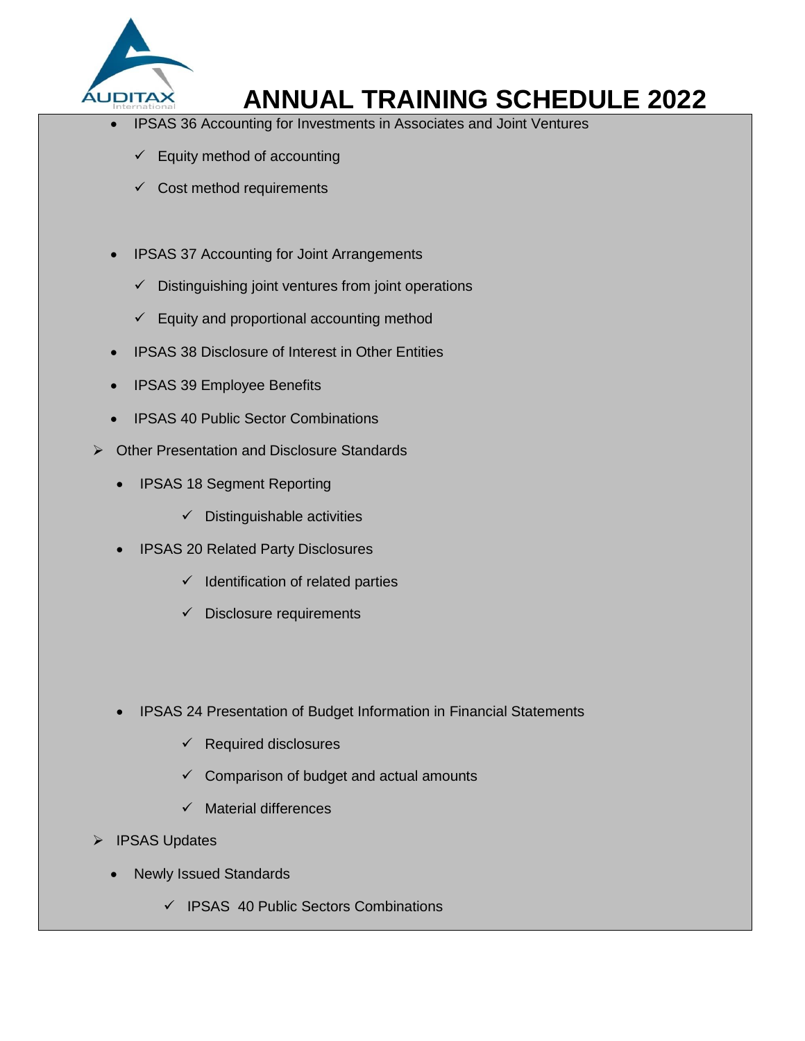

- IPSAS 36 Accounting for Investments in Associates and Joint Ventures
	- $\checkmark$  Equity method of accounting
	- $\checkmark$  Cost method requirements
- IPSAS 37 Accounting for Joint Arrangements
	- $\checkmark$  Distinguishing joint ventures from joint operations
	- $\checkmark$  Equity and proportional accounting method
- IPSAS 38 Disclosure of Interest in Other Entities
- IPSAS 39 Employee Benefits
- IPSAS 40 Public Sector Combinations
- Other Presentation and Disclosure Standards
	- IPSAS 18 Segment Reporting
		- $\checkmark$  Distinguishable activities
	- IPSAS 20 Related Party Disclosures
		- $\checkmark$  Identification of related parties
		- $\checkmark$  Disclosure requirements
	- IPSAS 24 Presentation of Budget Information in Financial Statements
		- $\checkmark$  Required disclosures
		- $\checkmark$  Comparison of budget and actual amounts
		- $\checkmark$  Material differences
- > IPSAS Updates
	- Newly Issued Standards
		- $\checkmark$  IPSAS 40 Public Sectors Combinations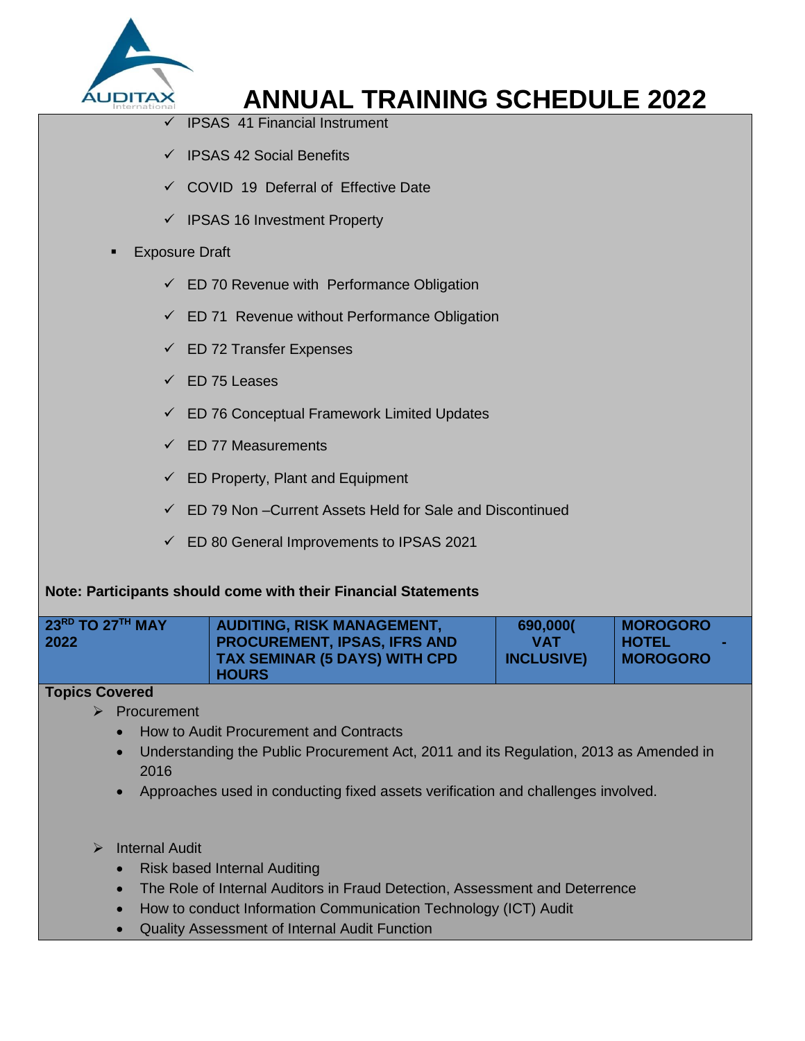

- IPSAS 41 Financial Instrument
- $\checkmark$  IPSAS 42 Social Benefits
- $\checkmark$  COVID 19 Deferral of Effective Date
- $\checkmark$  IPSAS 16 Investment Property

### Exposure Draft

- $\checkmark$  ED 70 Revenue with Performance Obligation
- $\checkmark$  ED 71 Revenue without Performance Obligation
- $\checkmark$  ED 72 Transfer Expenses
- $\checkmark$  ED 75 Leases
- $\checkmark$  ED 76 Conceptual Framework Limited Updates
- $\checkmark$  FD 77 Measurements
- $\checkmark$  ED Property, Plant and Equipment
- $\checkmark$  ED 79 Non –Current Assets Held for Sale and Discontinued
- ED 80 General Improvements to IPSAS 2021

## **Note: Participants should come with their Financial Statements**

| $23^{\text{RD}}$ TO $27^{\text{TH}}$ MAY<br>2022 | <b>AUDITING, RISK MANAGEMENT,</b><br><b>PROCUREMENT, IPSAS, IFRS AND</b><br><b>TAX SEMINAR (5 DAYS) WITH CPD</b> | 690,000(<br><b>VAT</b><br><b>INCLUSIVE)</b> | MOROGORO<br><b>THOTEL</b><br><b>IMOROGORO</b> |
|--------------------------------------------------|------------------------------------------------------------------------------------------------------------------|---------------------------------------------|-----------------------------------------------|
|                                                  | <b>HOURS</b>                                                                                                     |                                             |                                               |

#### **Topics Covered**

- $\triangleright$  Procurement
	- How to Audit Procurement and Contracts
	- Understanding the Public Procurement Act, 2011 and its Regulation, 2013 as Amended in 2016
	- Approaches used in conducting fixed assets verification and challenges involved.
- > Internal Audit
	- Risk based Internal Auditing
	- The Role of Internal Auditors in Fraud Detection, Assessment and Deterrence
	- How to conduct Information Communication Technology (ICT) Audit
	- Quality Assessment of Internal Audit Function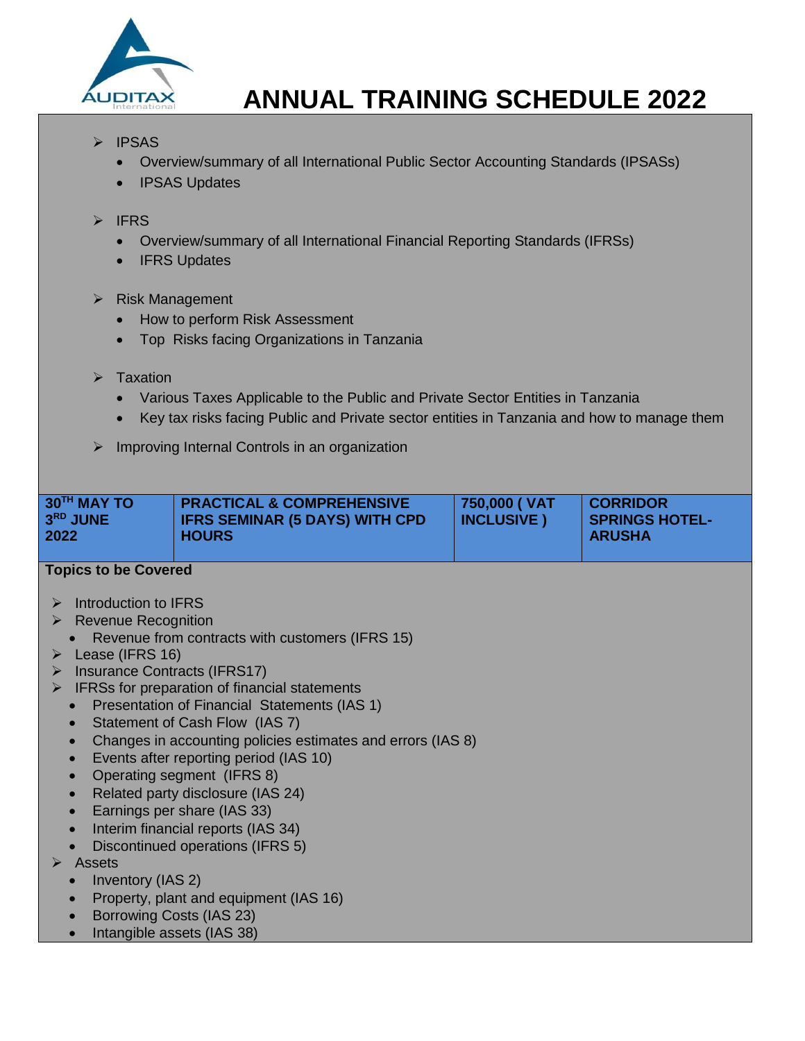

## $\triangleright$  IPSAS

- Overview/summary of all International Public Sector Accounting Standards (IPSASs)
- IPSAS Updates

### $\triangleright$  IFRS

- Overview/summary of all International Financial Reporting Standards (IFRSs)
- IFRS Updates

### $\triangleright$  Risk Management

- How to perform Risk Assessment
- Top Risks facing Organizations in Tanzania
- $\triangleright$  Taxation
	- Various Taxes Applicable to the Public and Private Sector Entities in Tanzania
	- Key tax risks facing Public and Private sector entities in Tanzania and how to manage them
- $\triangleright$  Improving Internal Controls in an organization

| 30TH MAY TO<br>$3RD$ JUNE<br>2022 | <b>PRACTICAL &amp; COMPREHENSIVE</b><br><b>IFRS SEMINAR (5 DAYS) WITH CPD</b><br><b>HOURS</b> | 750,000 (VAT<br><b>INCLUSIVE</b> ) | <b>CORRIDOR</b><br><b>SPRINGS HOTEL-</b><br><b>ARUSHA</b> |
|-----------------------------------|-----------------------------------------------------------------------------------------------|------------------------------------|-----------------------------------------------------------|
|                                   |                                                                                               |                                    |                                                           |

- $\triangleright$  Introduction to IFRS
- ▶ Revenue Recognition
	- Revenue from contracts with customers (IFRS 15)
- $\triangleright$  Lease (IFRS 16)
- $\triangleright$  Insurance Contracts (IFRS17)
- $\triangleright$  IFRSs for preparation of financial statements
	- Presentation of Financial Statements (IAS 1)
	- Statement of Cash Flow (IAS 7)
	- Changes in accounting policies estimates and errors (IAS 8)
	- Events after reporting period (IAS 10)
	- Operating segment (IFRS 8)
	- Related party disclosure (IAS 24)
	- Earnings per share (IAS 33)
	- Interim financial reports (IAS 34)
	- Discontinued operations (IFRS 5)
- $\triangleright$  Assets
	- Inventory (IAS 2)
	- Property, plant and equipment (IAS 16)
	- Borrowing Costs (IAS 23)
	- Intangible assets (IAS 38)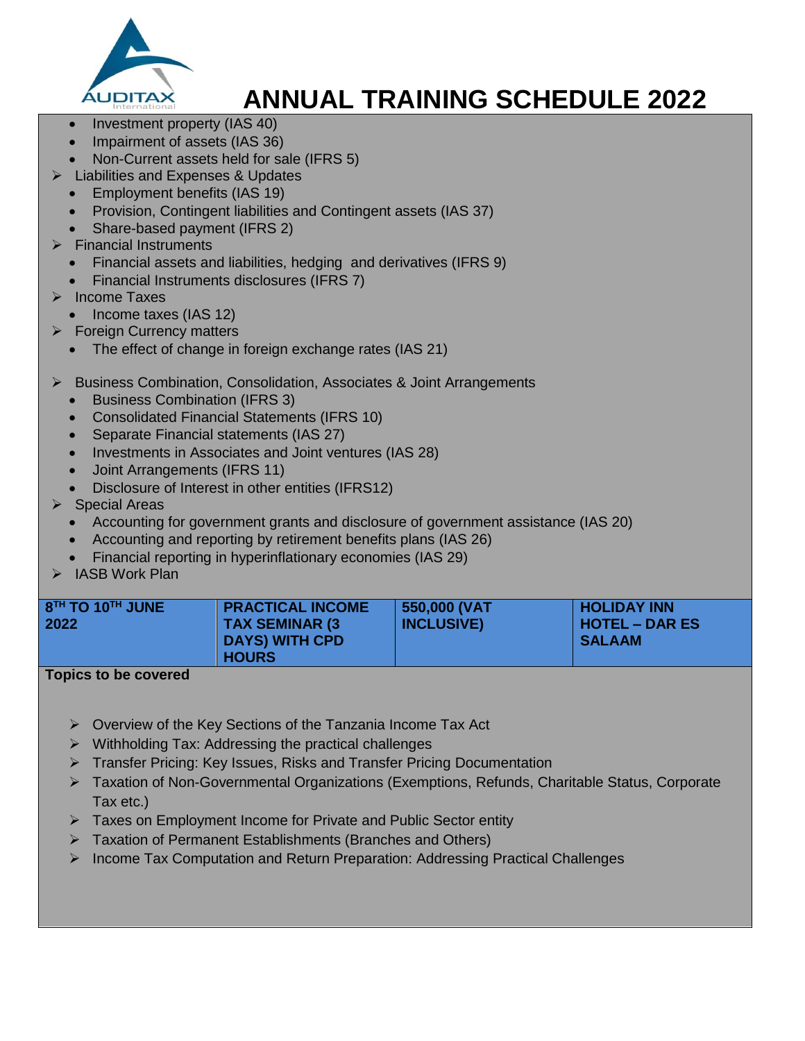

- Investment property (IAS 40)
- Impairment of assets (IAS 36)
- Non-Current assets held for sale (IFRS 5)
- Liabilities and Expenses & Updates
- Employment benefits (IAS 19)
- Provision, Contingent liabilities and Contingent assets (IAS 37)
- Share-based payment (IFRS 2)
- Financial Instruments
	- Financial assets and liabilities, hedging and derivatives (IFRS 9)
	- Financial Instruments disclosures (IFRS 7)
- > Income Taxes
	- Income taxes (IAS 12)
- $\triangleright$  Foreign Currency matters
	- The effect of change in foreign exchange rates (IAS 21)
- Business Combination, Consolidation, Associates & Joint Arrangements
	- Business Combination (IFRS 3)
	- Consolidated Financial Statements (IFRS 10)
	- Separate Financial statements (IAS 27)
	- Investments in Associates and Joint ventures (IAS 28)
	- Joint Arrangements (IFRS 11)
	- Disclosure of Interest in other entities (IFRS12)
- Special Areas
	- Accounting for government grants and disclosure of government assistance (IAS 20)
	- Accounting and reporting by retirement benefits plans (IAS 26)
	- Financial reporting in hyperinflationary economies (IAS 29)
- IASB Work Plan

| $8^{TH}$ TO 10 <sup>TH</sup> JUNE<br><b>PRACTICAL INCOME</b><br><b>TAX SEMINAR (3)</b><br>2022<br><b>DAYS) WITH CPD</b><br><b>HOURS</b> | 550,000 (VAT<br><b>INCLUSIVE)</b> | <b>HOLIDAY INN</b><br><b>HOTEL – DAR ES</b><br><b>SALAAM</b> |
|-----------------------------------------------------------------------------------------------------------------------------------------|-----------------------------------|--------------------------------------------------------------|
|-----------------------------------------------------------------------------------------------------------------------------------------|-----------------------------------|--------------------------------------------------------------|

- $\triangleright$  Overview of the Key Sections of the Tanzania Income Tax Act
- $\triangleright$  Withholding Tax: Addressing the practical challenges
- Transfer Pricing: Key Issues, Risks and Transfer Pricing Documentation
- ▶ Taxation of Non-Governmental Organizations (Exemptions, Refunds, Charitable Status, Corporate Tax etc.)
- **Faxes on Employment Income for Private and Public Sector entity**
- Taxation of Permanent Establishments (Branches and Others)
- $\triangleright$  Income Tax Computation and Return Preparation: Addressing Practical Challenges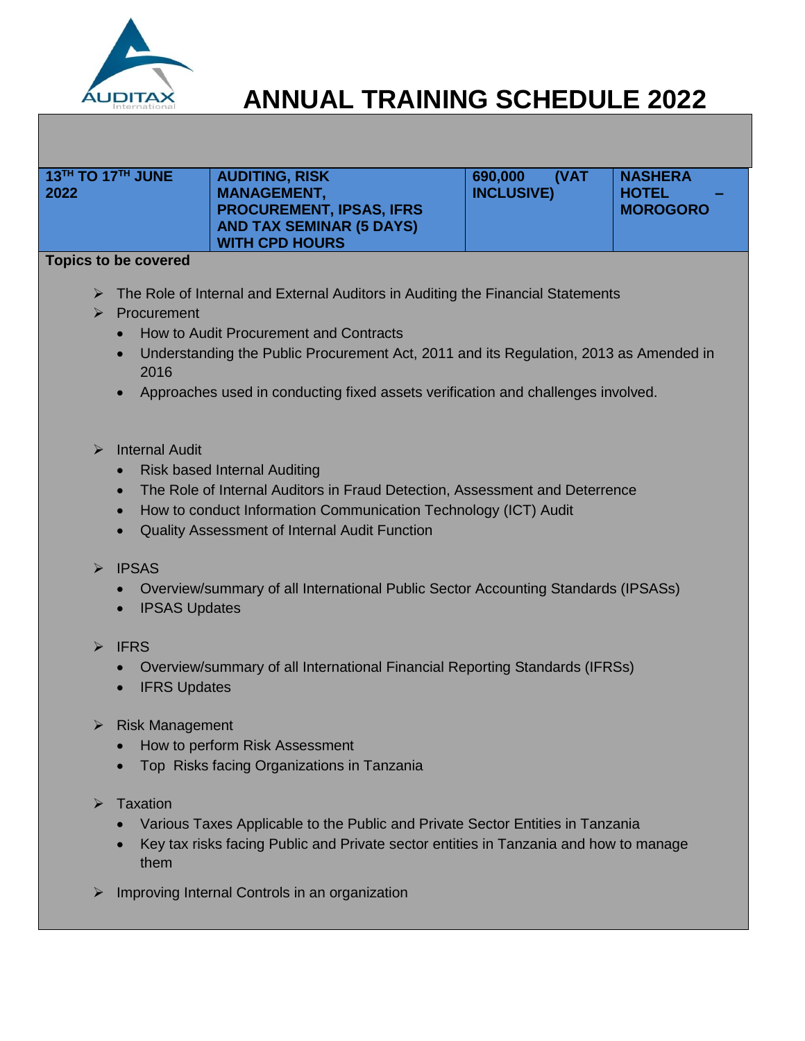

| $13^{TH}$ TO 17 <sup>TH</sup> JUNE | <b>AUDITING, RISK</b>                                 | <b>(VAT</b><br>690,000 | <b>NASHERA</b>                            |
|------------------------------------|-------------------------------------------------------|------------------------|-------------------------------------------|
| 2022                               | <b>MANAGEMENT,</b><br><b>PROCUREMENT, IPSAS, IFRS</b> | <b>INCLUSIVE)</b>      | <b>HOTEL</b><br>$\sim$<br><b>MOROGORO</b> |
|                                    | <b>AND TAX SEMINAR (5 DAYS)</b>                       |                        |                                           |
|                                    | <b>WITH CPD HOURS</b>                                 |                        |                                           |
| Tankas ta ha sausaral              |                                                       |                        |                                           |

- ▶ The Role of Internal and External Auditors in Auditing the Financial Statements
- $\triangleright$  Procurement
	- How to Audit Procurement and Contracts
	- Understanding the Public Procurement Act, 2011 and its Regulation, 2013 as Amended in 2016
	- Approaches used in conducting fixed assets verification and challenges involved.
- $\triangleright$  Internal Audit
	- Risk based Internal Auditing
	- The Role of Internal Auditors in Fraud Detection, Assessment and Deterrence
	- How to conduct Information Communication Technology (ICT) Audit
	- Quality Assessment of Internal Audit Function
- $\triangleright$  IPSAS
	- Overview/summary of all International Public Sector Accounting Standards (IPSASs)
	- IPSAS Updates
- $\triangleright$  IFRS
	- Overview/summary of all International Financial Reporting Standards (IFRSs)
	- IFRS Updates
- $\triangleright$  Risk Management
	- How to perform Risk Assessment
	- Top Risks facing Organizations in Tanzania
- $\triangleright$  Taxation
	- Various Taxes Applicable to the Public and Private Sector Entities in Tanzania
	- Key tax risks facing Public and Private sector entities in Tanzania and how to manage them
- $\triangleright$  Improving Internal Controls in an organization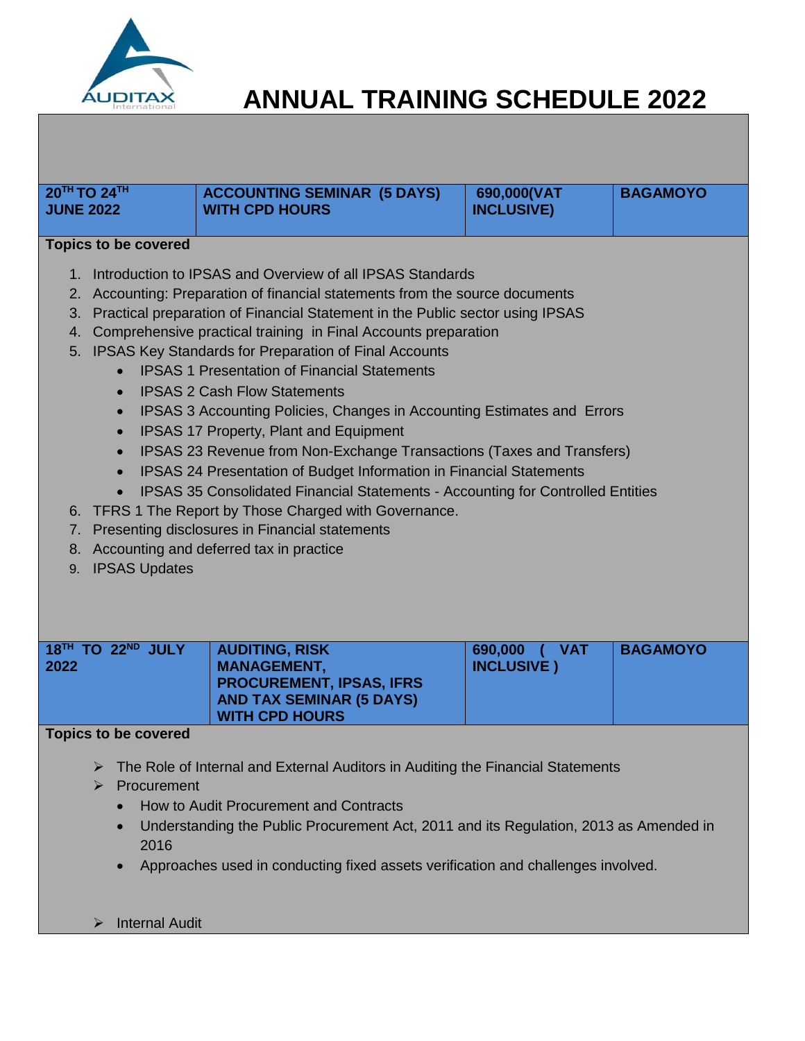

| <b>JUNE 2022</b>                                                                                                                                                                                                                                                                                                                                                                                                                                                                                                                                                                                                                                                                                                                                                                                                                                                                                                                                                                                                                                                                                                         | 20TH TO 24TH                                            | <b>ACCOUNTING SEMINAR (5 DAYS)</b><br><b>WITH CPD HOURS</b>                                                                                                                                                                                                                                            | 690,000(VAT<br><b>INCLUSIVE)</b>         | <b>BAGAMOYO</b> |
|--------------------------------------------------------------------------------------------------------------------------------------------------------------------------------------------------------------------------------------------------------------------------------------------------------------------------------------------------------------------------------------------------------------------------------------------------------------------------------------------------------------------------------------------------------------------------------------------------------------------------------------------------------------------------------------------------------------------------------------------------------------------------------------------------------------------------------------------------------------------------------------------------------------------------------------------------------------------------------------------------------------------------------------------------------------------------------------------------------------------------|---------------------------------------------------------|--------------------------------------------------------------------------------------------------------------------------------------------------------------------------------------------------------------------------------------------------------------------------------------------------------|------------------------------------------|-----------------|
|                                                                                                                                                                                                                                                                                                                                                                                                                                                                                                                                                                                                                                                                                                                                                                                                                                                                                                                                                                                                                                                                                                                          |                                                         |                                                                                                                                                                                                                                                                                                        |                                          |                 |
|                                                                                                                                                                                                                                                                                                                                                                                                                                                                                                                                                                                                                                                                                                                                                                                                                                                                                                                                                                                                                                                                                                                          |                                                         |                                                                                                                                                                                                                                                                                                        |                                          |                 |
| <b>Topics to be covered</b><br>1. Introduction to IPSAS and Overview of all IPSAS Standards<br>Accounting: Preparation of financial statements from the source documents<br>2.<br>Practical preparation of Financial Statement in the Public sector using IPSAS<br>3.<br>Comprehensive practical training in Final Accounts preparation<br>4.<br>5. IPSAS Key Standards for Preparation of Final Accounts<br><b>IPSAS 1 Presentation of Financial Statements</b><br><b>IPSAS 2 Cash Flow Statements</b><br>$\bullet$<br><b>IPSAS 3 Accounting Policies, Changes in Accounting Estimates and Errors</b><br>IPSAS 17 Property, Plant and Equipment<br>$\bullet$<br>IPSAS 23 Revenue from Non-Exchange Transactions (Taxes and Transfers)<br>IPSAS 24 Presentation of Budget Information in Financial Statements<br>$\bullet$<br><b>IPSAS 35 Consolidated Financial Statements - Accounting for Controlled Entities</b><br>TFRS 1 The Report by Those Charged with Governance.<br>6.<br>Presenting disclosures in Financial statements<br>7.<br>Accounting and deferred tax in practice<br>8.<br><b>IPSAS Updates</b><br>9. |                                                         |                                                                                                                                                                                                                                                                                                        |                                          |                 |
| 2022                                                                                                                                                                                                                                                                                                                                                                                                                                                                                                                                                                                                                                                                                                                                                                                                                                                                                                                                                                                                                                                                                                                     | 18 <sup>TH</sup> TO 22 <sup>ND</sup> JULY               | <b>AUDITING, RISK</b><br><b>MANAGEMENT,</b><br><b>PROCUREMENT, IPSAS, IFRS</b><br><b>AND TAX SEMINAR (5 DAYS)</b><br><b>WITH CPD HOURS</b>                                                                                                                                                             | 690,000<br>$($ VAT<br><b>INCLUSIVE</b> ) | <b>BAGAMOYO</b> |
|                                                                                                                                                                                                                                                                                                                                                                                                                                                                                                                                                                                                                                                                                                                                                                                                                                                                                                                                                                                                                                                                                                                          | <b>Topics to be covered</b>                             |                                                                                                                                                                                                                                                                                                        |                                          |                 |
|                                                                                                                                                                                                                                                                                                                                                                                                                                                                                                                                                                                                                                                                                                                                                                                                                                                                                                                                                                                                                                                                                                                          | ➤<br>Procurement<br>➤<br>$\bullet$<br>2016<br>$\bullet$ | The Role of Internal and External Auditors in Auditing the Financial Statements<br>How to Audit Procurement and Contracts<br>Understanding the Public Procurement Act, 2011 and its Regulation, 2013 as Amended in<br>Approaches used in conducting fixed assets verification and challenges involved. |                                          |                 |
|                                                                                                                                                                                                                                                                                                                                                                                                                                                                                                                                                                                                                                                                                                                                                                                                                                                                                                                                                                                                                                                                                                                          | <b>Internal Audit</b><br>⋗                              |                                                                                                                                                                                                                                                                                                        |                                          |                 |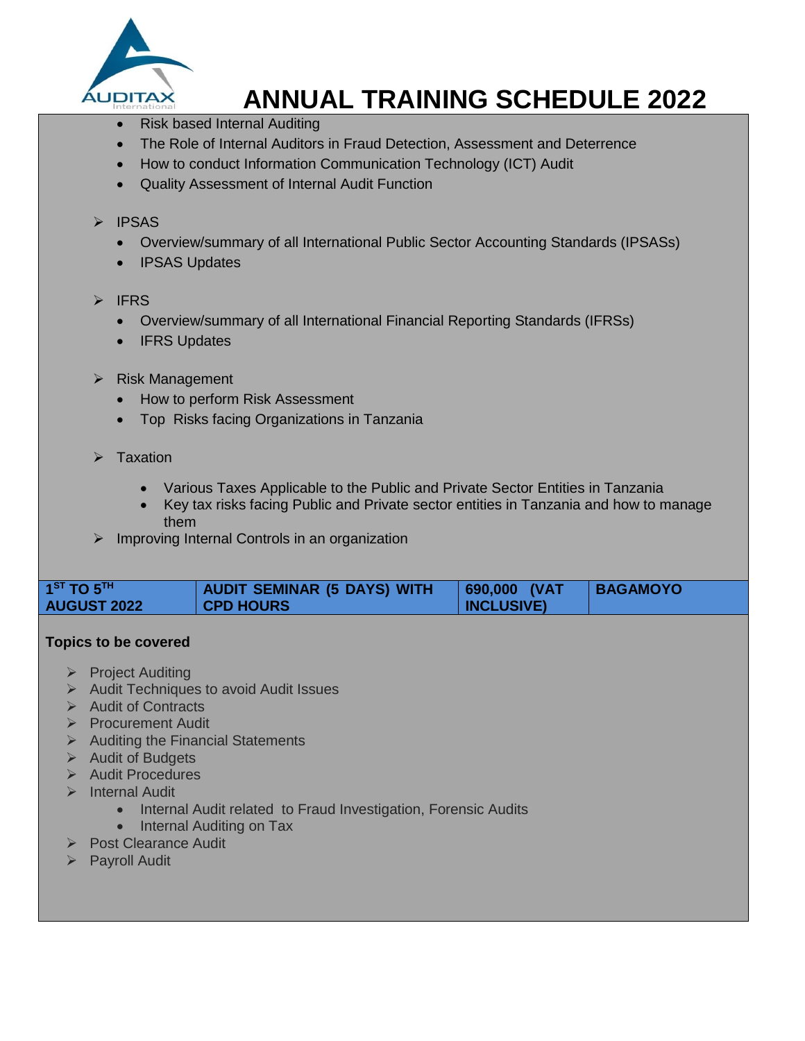

- Risk based Internal Auditing
- The Role of Internal Auditors in Fraud Detection, Assessment and Deterrence
- How to conduct Information Communication Technology (ICT) Audit
- Quality Assessment of Internal Audit Function

### > IPSAS

- Overview/summary of all International Public Sector Accounting Standards (IPSASs)
- IPSAS Updates

### $\triangleright$  IFRS

- Overview/summary of all International Financial Reporting Standards (IFRSs)
- IFRS Updates
- $\triangleright$  Risk Management
	- How to perform Risk Assessment
	- Top Risks facing Organizations in Tanzania
- $\triangleright$  Taxation
	- Various Taxes Applicable to the Public and Private Sector Entities in Tanzania
	- Key tax risks facing Public and Private sector entities in Tanzania and how to manage them
- $\triangleright$  Improving Internal Controls in an organization

| $1$ <sup>ST</sup> TO $5$ <sup>TH</sup> | <b>AUDIT SEMINAR (5 DAYS) WITH</b> | 690,000 (VAT      | <b>BAGAMOYO</b> |
|----------------------------------------|------------------------------------|-------------------|-----------------|
| <b>AUGUST 2022</b>                     | <b>CPD HOURS</b>                   | <b>INCLUSIVE)</b> |                 |

- $\triangleright$  Project Auditing
- $\triangleright$  Audit Techniques to avoid Audit Issues
- $\triangleright$  Audit of Contracts
- **Procurement Audit**
- $\triangleright$  Auditing the Financial Statements
- $\triangleright$  Audit of Budgets
- $\triangleright$  Audit Procedures
- > Internal Audit
	- Internal Audit related to Fraud Investigation, Forensic Audits
	- Internal Auditing on Tax
- Post Clearance Audit
- **>** Payroll Audit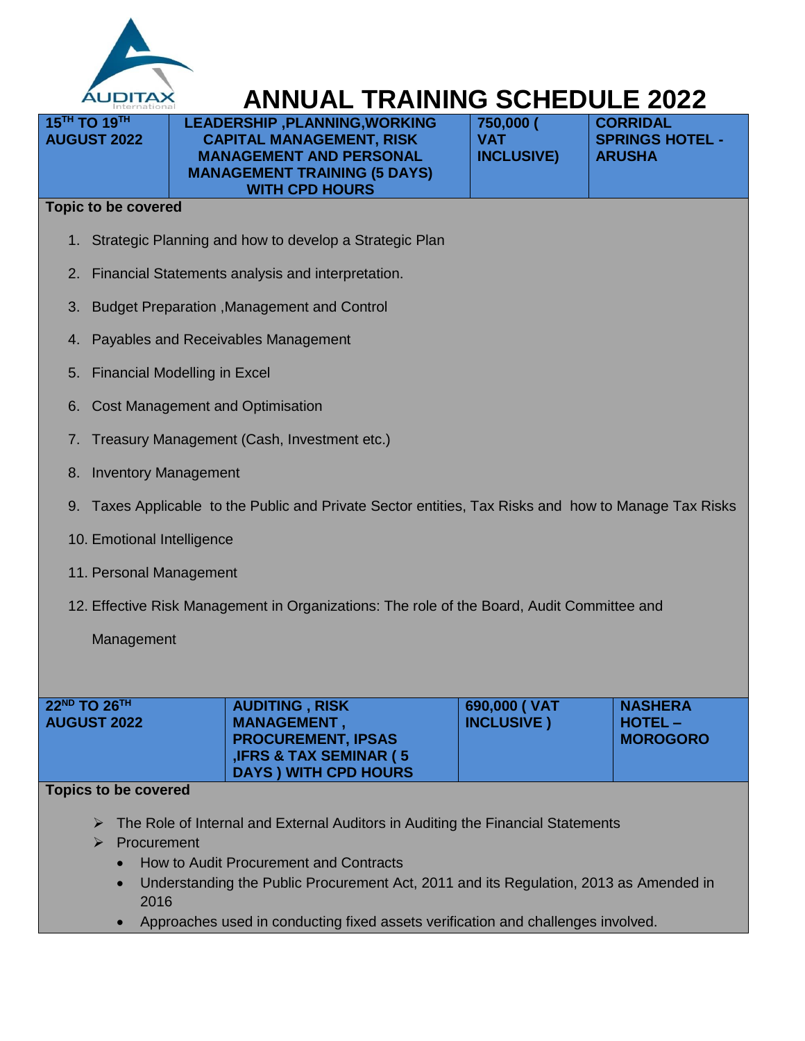

**LEADERSHIP ,PLANNING,WORKING CAPITAL MANAGEMENT, RISK MANAGEMENT AND PERSONAL MANAGEMENT TRAINING (5 DAYS) WITH CPD HOURS**

| 750,000 (         |  |
|-------------------|--|
| VAT               |  |
| <b>INCLUSIVE)</b> |  |
|                   |  |

**CORRIDAL SPRINGS HOTEL - ARUSHA**

#### **Topic to be covered**

**15TH TO 19TH AUGUST 2022**

- 1. Strategic Planning and how to develop a Strategic Plan
- 2. Financial Statements analysis and interpretation.
- 3. Budget Preparation ,Management and Control
- 4. Payables and Receivables Management
- 5. Financial Modelling in Excel
- 6. Cost Management and Optimisation
- 7. Treasury Management (Cash, Investment etc.)
- 8. Inventory Management
- 9. Taxes Applicable to the Public and Private Sector entities, Tax Risks and how to Manage Tax Risks
- 10. Emotional Intelligence
- 11. Personal Management
- 12. Effective Risk Management in Organizations: The role of the Board, Audit Committee and

Management

| $22^{ND}$ TO $26^{TH}$<br><b>AUGUST 2022</b> | <b>AUDITING, RISK</b><br><b>MANAGEMENT,</b><br><b>PROCUREMENT, IPSAS</b><br><b>IFRS &amp; TAX SEMINAR (5)</b> | 690,000 ( VAT<br><b>INCLUSIVE</b> ) | <b>NASHERA</b><br>  HOTEL –<br><b>MOROGORO</b> |
|----------------------------------------------|---------------------------------------------------------------------------------------------------------------|-------------------------------------|------------------------------------------------|
|                                              | DAYS ) WITH CPD HOURS                                                                                         |                                     |                                                |

- ▶ The Role of Internal and External Auditors in Auditing the Financial Statements
- Procurement
	- How to Audit Procurement and Contracts
	- Understanding the Public Procurement Act, 2011 and its Regulation, 2013 as Amended in 2016
	- Approaches used in conducting fixed assets verification and challenges involved.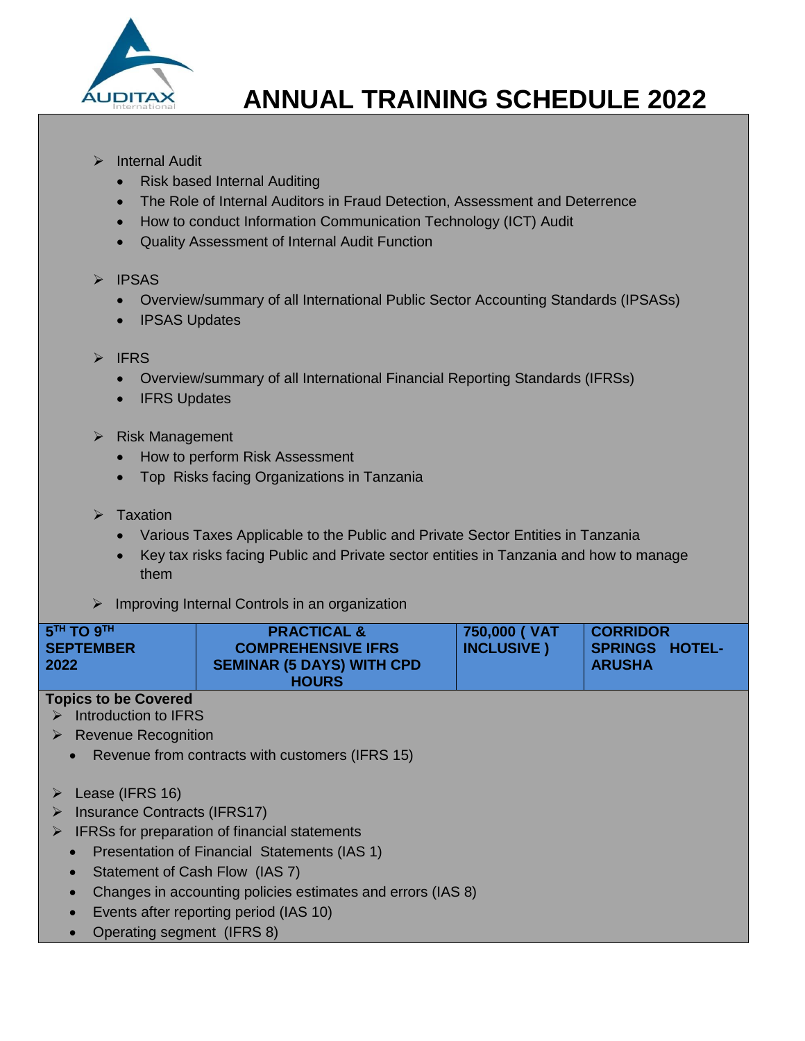

- $\triangleright$  Internal Audit
	- Risk based Internal Auditing
	- The Role of Internal Auditors in Fraud Detection, Assessment and Deterrence
	- How to conduct Information Communication Technology (ICT) Audit
	- Quality Assessment of Internal Audit Function

### $\triangleright$  IPSAS

- Overview/summary of all International Public Sector Accounting Standards (IPSASs)
- IPSAS Updates

## $\triangleright$  IFRS

- Overview/summary of all International Financial Reporting Standards (IFRSs)
- IFRS Updates
- $\triangleright$  Risk Management
	- How to perform Risk Assessment
	- Top Risks facing Organizations in Tanzania
- $\triangleright$  Taxation
	- Various Taxes Applicable to the Public and Private Sector Entities in Tanzania
	- Key tax risks facing Public and Private sector entities in Tanzania and how to manage them
- $\triangleright$  Improving Internal Controls in an organization

| $5$ <sup>TH</sup> TO $9$ <sup>TH</sup> | <b>PRACTICAL &amp;</b>           | 750,000 ( VAT      | <b>CORRIDOR</b>       |
|----------------------------------------|----------------------------------|--------------------|-----------------------|
| <b>SEPTEMBER</b>                       | <b>COMPREHENSIVE IFRS</b>        | <b>INCLUSIVE</b> ) | <b>SPRINGS HOTEL-</b> |
| 2022                                   | <b>SEMINAR (5 DAYS) WITH CPD</b> |                    | <b>ARUSHA</b>         |
|                                        | <b>HOURS</b>                     |                    |                       |

- $\triangleright$  Introduction to IFRS
- **Revenue Recognition** 
	- Revenue from contracts with customers (IFRS 15)
- $\triangleright$  Lease (IFRS 16)
- > Insurance Contracts (IFRS17)
- $\triangleright$  IFRSs for preparation of financial statements
	- Presentation of Financial Statements (IAS 1)
	- Statement of Cash Flow (IAS 7)
	- Changes in accounting policies estimates and errors (IAS 8)
	- Events after reporting period (IAS 10)
	- Operating segment (IFRS 8)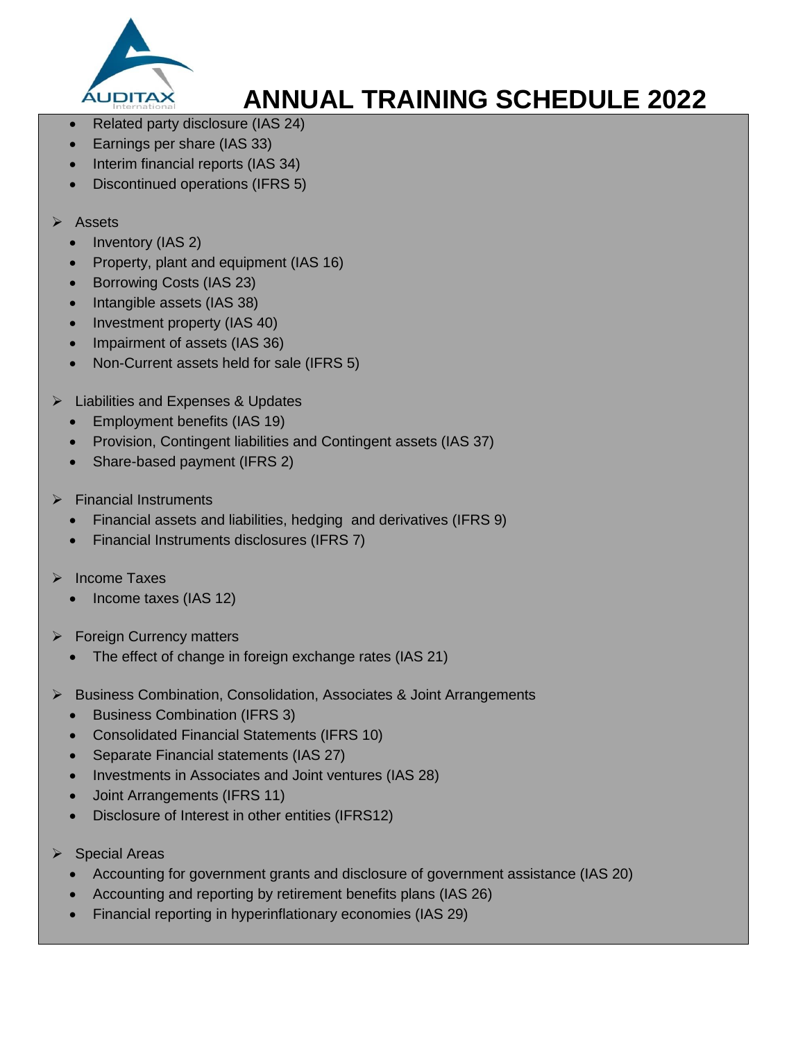

- Related party disclosure (IAS 24)
- Earnings per share (IAS 33)
- Interim financial reports (IAS 34)
- Discontinued operations (IFRS 5)
- Assets
	- Inventory (IAS 2)
	- Property, plant and equipment (IAS 16)
	- Borrowing Costs (IAS 23)
	- Intangible assets (IAS 38)
	- Investment property (IAS 40)
	- Impairment of assets (IAS 36)
	- Non-Current assets held for sale (IFRS 5)
- **►** Liabilities and Expenses & Updates
	- Employment benefits (IAS 19)
	- Provision, Contingent liabilities and Contingent assets (IAS 37)
	- Share-based payment (IFRS 2)
- $\triangleright$  Financial Instruments
	- Financial assets and liabilities, hedging and derivatives (IFRS 9)
	- Financial Instruments disclosures (IFRS 7)
- Income Taxes
	- Income taxes (IAS 12)
- $\triangleright$  Foreign Currency matters
	- The effect of change in foreign exchange rates (IAS 21)
- ▶ Business Combination, Consolidation, Associates & Joint Arrangements
	- Business Combination (IFRS 3)
	- Consolidated Financial Statements (IFRS 10)
	- Separate Financial statements (IAS 27)
	- Investments in Associates and Joint ventures (IAS 28)
	- Joint Arrangements (IFRS 11)
	- Disclosure of Interest in other entities (IFRS12)
- $\triangleright$  Special Areas
	- Accounting for government grants and disclosure of government assistance (IAS 20)
	- Accounting and reporting by retirement benefits plans (IAS 26)
	- Financial reporting in hyperinflationary economies (IAS 29)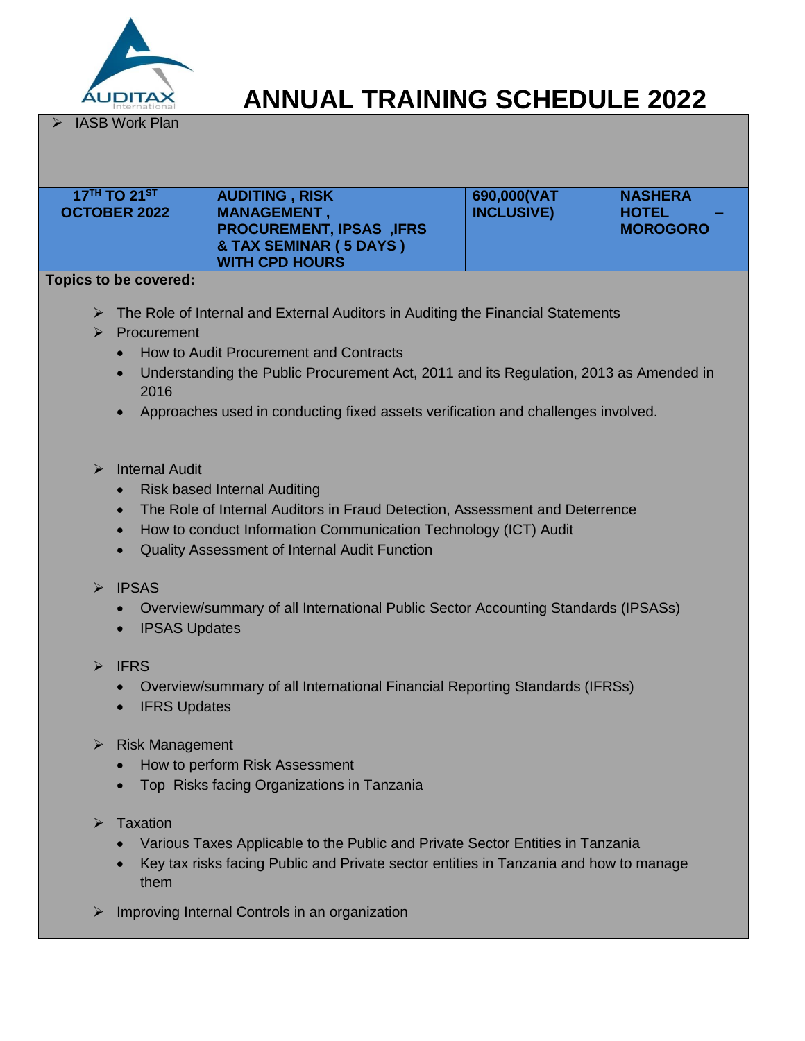

IASB Work Plan

| 17TH TO 21ST<br><b>OCTOBER 2022</b>                                                                                                                                                                                                                                                                                                                                                   | <b>AUDITING, RISK</b><br><b>MANAGEMENT,</b><br><b>PROCUREMENT, IPSAS, IFRS</b><br>& TAX SEMINAR (5 DAYS)<br><b>WITH CPD HOURS</b>                                                                                                             | 690,000(VAT<br><b>INCLUSIVE)</b> | <b>NASHERA</b><br><b>HOTEL</b><br><b>MOROGORO</b> |  |  |
|---------------------------------------------------------------------------------------------------------------------------------------------------------------------------------------------------------------------------------------------------------------------------------------------------------------------------------------------------------------------------------------|-----------------------------------------------------------------------------------------------------------------------------------------------------------------------------------------------------------------------------------------------|----------------------------------|---------------------------------------------------|--|--|
| <b>Topics to be covered:</b>                                                                                                                                                                                                                                                                                                                                                          |                                                                                                                                                                                                                                               |                                  |                                                   |  |  |
| The Role of Internal and External Auditors in Auditing the Financial Statements<br>$\triangleright$ Procurement<br>How to Audit Procurement and Contracts<br>$\bullet$<br>Understanding the Public Procurement Act, 2011 and its Regulation, 2013 as Amended in<br>$\bullet$<br>2016<br>Approaches used in conducting fixed assets verification and challenges involved.<br>$\bullet$ |                                                                                                                                                                                                                                               |                                  |                                                   |  |  |
| <b>Internal Audit</b><br>$\triangleright$<br>$\bullet$<br>$\bullet$                                                                                                                                                                                                                                                                                                                   | <b>Risk based Internal Auditing</b><br>The Role of Internal Auditors in Fraud Detection, Assessment and Deterrence<br>How to conduct Information Communication Technology (ICT) Audit<br><b>Quality Assessment of Internal Audit Function</b> |                                  |                                                   |  |  |

- $\triangleright$  IPSAS
	- Overview/summary of all International Public Sector Accounting Standards (IPSASs)
	- IPSAS Updates
- $\triangleright$  IFRS
	- Overview/summary of all International Financial Reporting Standards (IFRSs)
	- IFRS Updates
- $\triangleright$  Risk Management
	- How to perform Risk Assessment
	- Top Risks facing Organizations in Tanzania
- $\triangleright$  Taxation
	- Various Taxes Applicable to the Public and Private Sector Entities in Tanzania
	- Key tax risks facing Public and Private sector entities in Tanzania and how to manage them
- $\triangleright$  Improving Internal Controls in an organization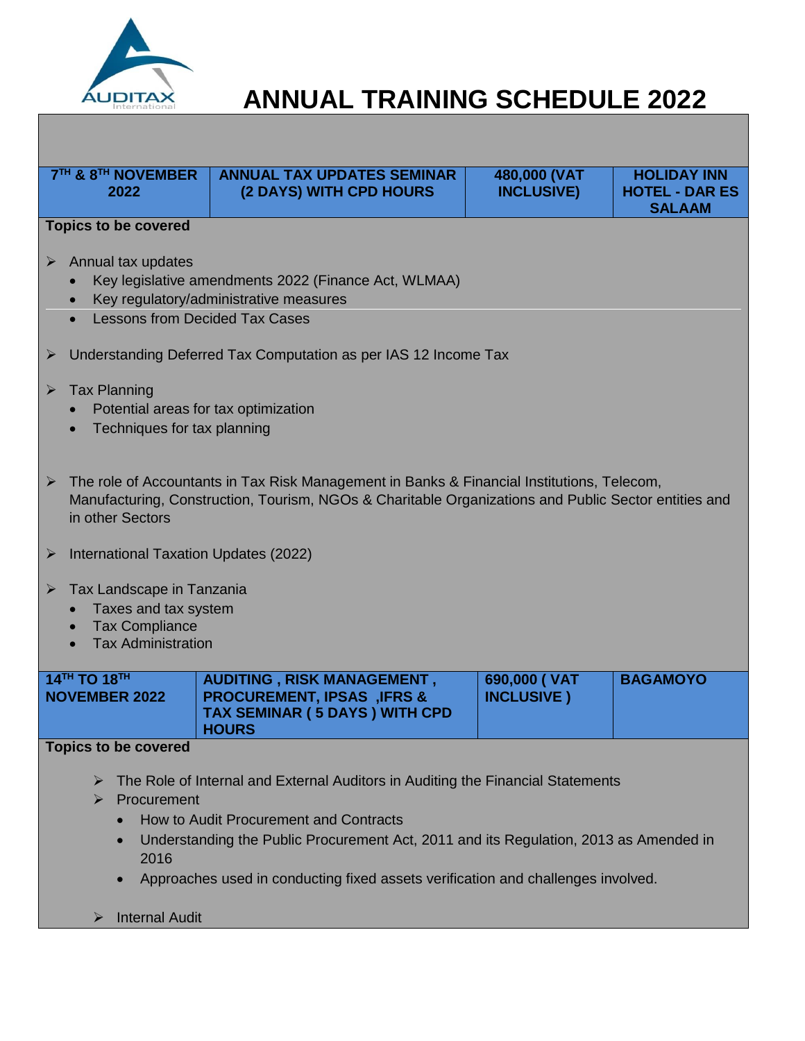

| 7 <sup>TH</sup> & 8 <sup>TH</sup> NOVEMBER<br>2022                                                                                                                                                                                                                                                                                      | <b>ANNUAL TAX UPDATES SEMINAR</b><br>(2 DAYS) WITH CPD HOURS                           | 480,000 (VAT<br><b>INCLUSIVE)</b> | <b>HOLIDAY INN</b><br><b>HOTEL - DAR ES</b><br><b>SALAAM</b> |  |
|-----------------------------------------------------------------------------------------------------------------------------------------------------------------------------------------------------------------------------------------------------------------------------------------------------------------------------------------|----------------------------------------------------------------------------------------|-----------------------------------|--------------------------------------------------------------|--|
| <b>Topics to be covered</b>                                                                                                                                                                                                                                                                                                             |                                                                                        |                                   |                                                              |  |
| Annual tax updates<br>➤<br>Key legislative amendments 2022 (Finance Act, WLMAA)<br>Key regulatory/administrative measures<br><b>Lessons from Decided Tax Cases</b>                                                                                                                                                                      |                                                                                        |                                   |                                                              |  |
| ➤                                                                                                                                                                                                                                                                                                                                       | Understanding Deferred Tax Computation as per IAS 12 Income Tax                        |                                   |                                                              |  |
| <b>Tax Planning</b><br>$\blacktriangleright$<br>Potential areas for tax optimization<br>Techniques for tax planning                                                                                                                                                                                                                     |                                                                                        |                                   |                                                              |  |
| The role of Accountants in Tax Risk Management in Banks & Financial Institutions, Telecom,<br>$\blacktriangleright$<br>Manufacturing, Construction, Tourism, NGOs & Charitable Organizations and Public Sector entities and<br>in other Sectors                                                                                         |                                                                                        |                                   |                                                              |  |
| International Taxation Updates (2022)<br>➤                                                                                                                                                                                                                                                                                              |                                                                                        |                                   |                                                              |  |
| Tax Landscape in Tanzania<br>➤<br>Taxes and tax system<br><b>Tax Compliance</b><br><b>Tax Administration</b>                                                                                                                                                                                                                            |                                                                                        |                                   |                                                              |  |
| 14TH TO 18TH                                                                                                                                                                                                                                                                                                                            | <b>AUDITING, RISK MANAGEMENT,</b>                                                      | 690,000 ( VAT                     | <b>BAGAMOYO</b>                                              |  |
| <b>NOVEMBER 2022</b>                                                                                                                                                                                                                                                                                                                    | <b>PROCUREMENT, IPSAS, IFRS &amp;</b><br>TAX SEMINAR (5 DAYS) WITH CPD<br><b>HOURS</b> | <b>INCLUSIVE</b> )                |                                                              |  |
| <b>Topics to be covered</b>                                                                                                                                                                                                                                                                                                             |                                                                                        |                                   |                                                              |  |
| The Role of Internal and External Auditors in Auditing the Financial Statements<br>➤<br>Procurement<br>➤<br>How to Audit Procurement and Contracts<br>Understanding the Public Procurement Act, 2011 and its Regulation, 2013 as Amended in<br>2016<br>Approaches used in conducting fixed assets verification and challenges involved. |                                                                                        |                                   |                                                              |  |
|                                                                                                                                                                                                                                                                                                                                         |                                                                                        |                                   |                                                              |  |

> Internal Audit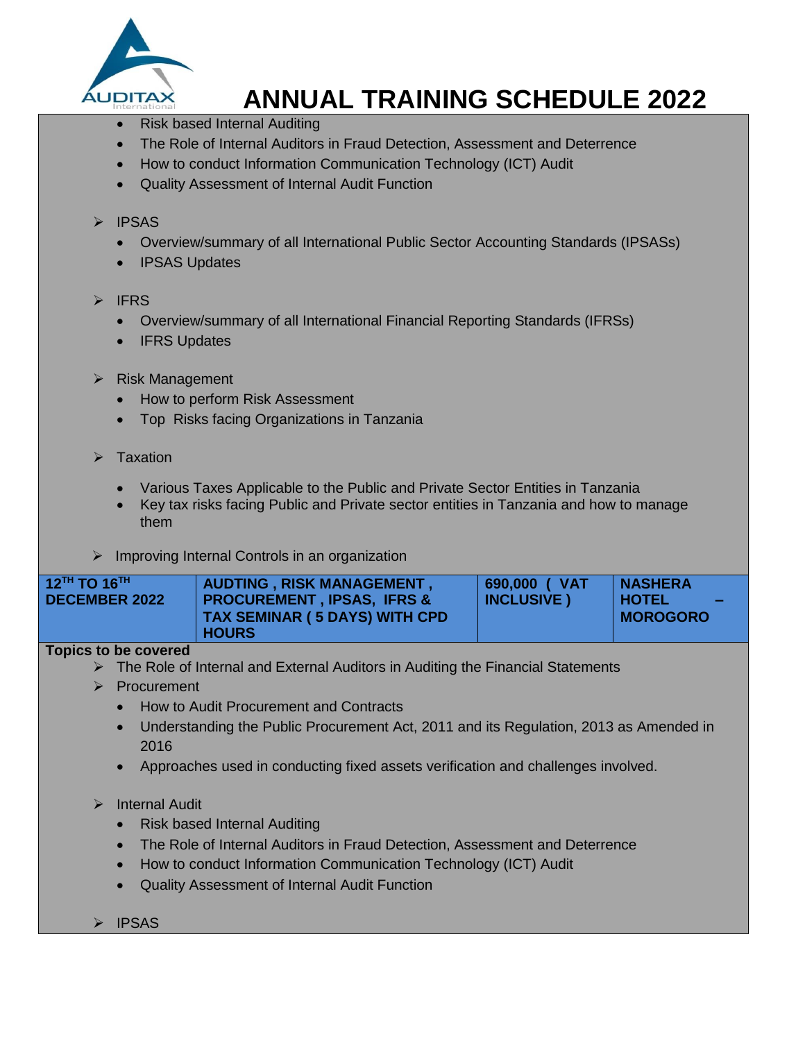

- Risk based Internal Auditing
- The Role of Internal Auditors in Fraud Detection, Assessment and Deterrence
- How to conduct Information Communication Technology (ICT) Audit
- Quality Assessment of Internal Audit Function

### $\triangleright$  IPSAS

- Overview/summary of all International Public Sector Accounting Standards (IPSASs)
- IPSAS Updates

### $\triangleright$  IFRS

- Overview/summary of all International Financial Reporting Standards (IFRSs)
- IFRS Updates
- $\triangleright$  Risk Management
	- How to perform Risk Assessment
	- Top Risks facing Organizations in Tanzania
- $\triangleright$  Taxation
	- Various Taxes Applicable to the Public and Private Sector Entities in Tanzania
	- Key tax risks facing Public and Private sector entities in Tanzania and how to manage them
- $\triangleright$  Improving Internal Controls in an organization

| $12$ <sup>TH</sup> TO 16 <sup>TH</sup><br><b>AUDTING, RISK MANAGEMENT,</b><br>PROCUREMENT , IPSAS, IFRS &<br><b>DECEMBER 2022</b><br><b>TAX SEMINAR (5 DAYS) WITH CPD</b><br><b>HOURS</b> | 690,000 ( VAT<br><b>INCLUSIVE</b> ) | <b>NASHERA</b><br>I HOTEL I<br>$\sim$<br>∣ MOROGORO |
|-------------------------------------------------------------------------------------------------------------------------------------------------------------------------------------------|-------------------------------------|-----------------------------------------------------|
|-------------------------------------------------------------------------------------------------------------------------------------------------------------------------------------------|-------------------------------------|-----------------------------------------------------|

## **Topics to be covered**

- $\triangleright$  The Role of Internal and External Auditors in Auditing the Financial Statements
- Procurement
	- How to Audit Procurement and Contracts
	- Understanding the Public Procurement Act, 2011 and its Regulation, 2013 as Amended in 2016
	- Approaches used in conducting fixed assets verification and challenges involved.

## > Internal Audit

- Risk based Internal Auditing
- The Role of Internal Auditors in Fraud Detection, Assessment and Deterrence
- How to conduct Information Communication Technology (ICT) Audit
- Quality Assessment of Internal Audit Function
- > IPSAS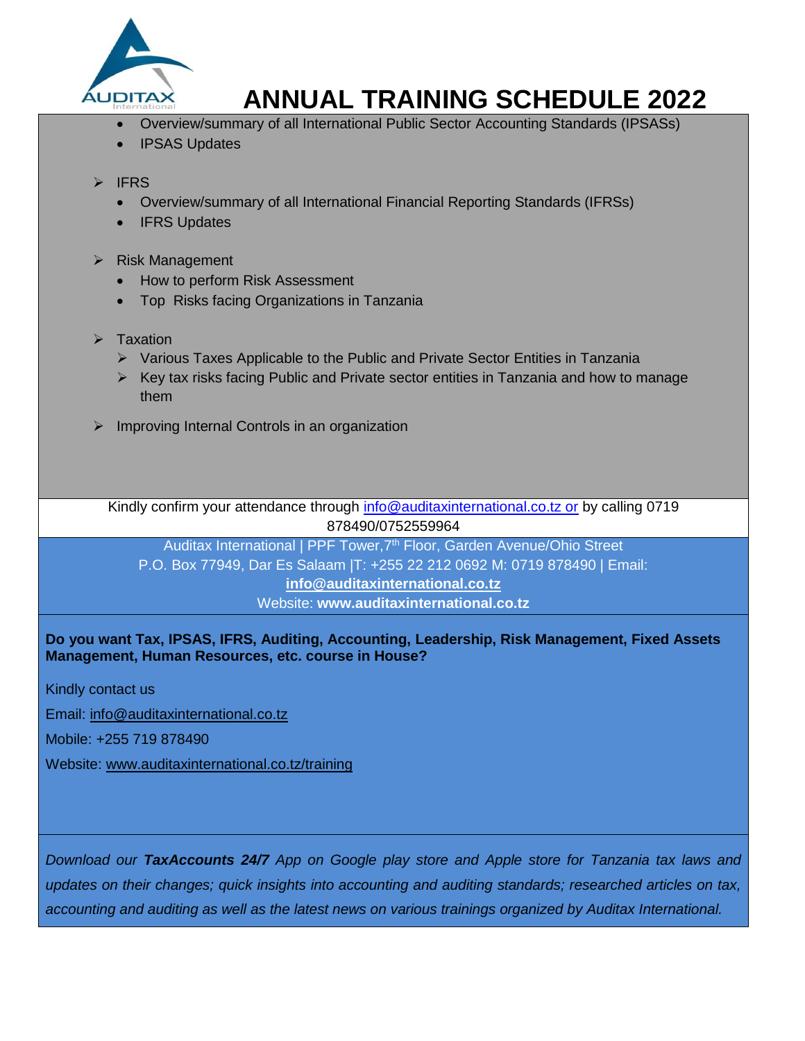

- Overview/summary of all International Public Sector Accounting Standards (IPSASs)
- IPSAS Updates

### $\triangleright$  IFRS

- Overview/summary of all International Financial Reporting Standards (IFRSs)
- IFRS Updates

#### $\triangleright$  Risk Management

- How to perform Risk Assessment
- Top Risks facing Organizations in Tanzania
- $\triangleright$  Taxation
	- $\triangleright$  Various Taxes Applicable to the Public and Private Sector Entities in Tanzania
	- $\triangleright$  Key tax risks facing Public and Private sector entities in Tanzania and how to manage them
- $\triangleright$  Improving Internal Controls in an organization

Kindly confirm your attendance through [info@auditaxinternational.co.tz or](mailto:info@auditaxinternational.co.tz%20or) by calling 0719 878490/0752559964

Auditax International | PPF Tower, 7<sup>th</sup> Floor, Garden Avenue/Ohio Street P.O. Box 77949, Dar Es Salaam |T: +255 22 212 0692 M: 0719 878490 | Email: **[info@auditaxinternational.co.tz](mailto:info@auditaxinternational.co.tz)**

Website: **www.auditaxinternational.co.tz**

**Do you want Tax, IPSAS, IFRS, Auditing, Accounting, Leadership, Risk Management, Fixed Assets Management, Human Resources, etc. course in House?**

Kindly contact us

Email: [info@auditaxinternational.co.tz](mailto:info@auditaxinternational.co.tz)

Mobile: +255 719 878490

Website: [www.auditaxinternational.co.tz/training](http://www.auditaxinternational.co.tz/training)

*Download our TaxAccounts 24/7 App on Google play store and Apple store for Tanzania tax laws and updates on their changes; quick insights into accounting and auditing standards; researched articles on tax, accounting and auditing as well as the latest news on various trainings organized by Auditax International.*